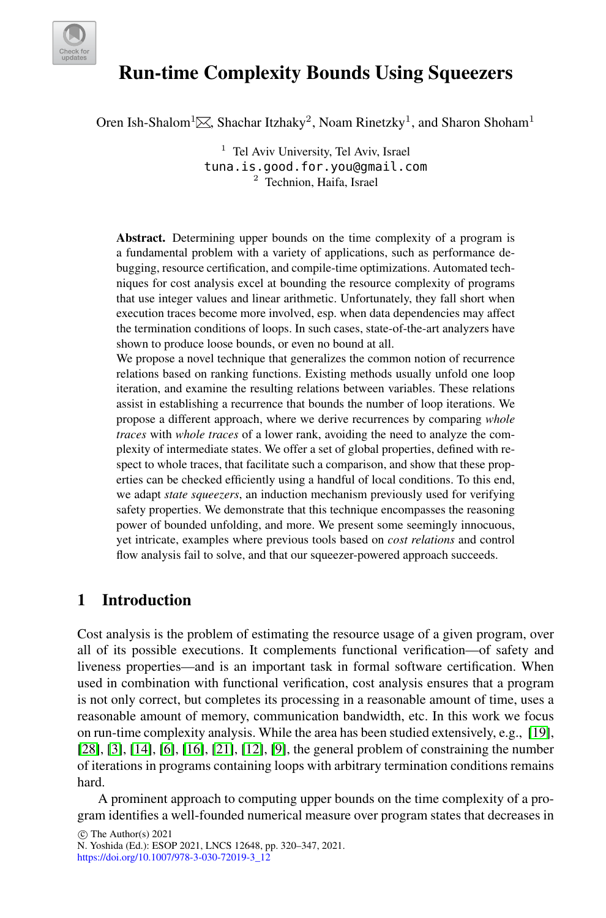

# Run-time Complexity Bounds Using Squeezers

Oren Ish-Shalom<sup>1</sup> $\boxtimes$ , Shachar Itzhaky<sup>2</sup>, Noam Rinetzky<sup>1</sup>, and Sharon Shoham<sup>1</sup>

<sup>1</sup> Tel Aviv University, Tel Aviv, Israel tuna.is.good.for.you@gmail.com <sup>2</sup> Technion, Haifa, Israel

Abstract. Determining upper bounds on the time complexity of a program is a fundamental problem with a variety of applications, such as performance debugging, resource certification, and compile-time optimizations. Automated techniques for cost analysis excel at bounding the resource complexity of programs that use integer values and linear arithmetic. Unfortunately, they fall short when execution traces become more involved, esp. when data dependencies may affect the termination conditions of loops. In such cases, state-of-the-art analyzers have shown to produce loose bounds, or even no bound at all.

We propose a novel technique that generalizes the common notion of recurrence relations based on ranking functions. Existing methods usually unfold one loop iteration, and examine the resulting relations between variables. These relations assist in establishing a recurrence that bounds the number of loop iterations. We propose a different approach, where we derive recurrences by comparing *whole traces* with *whole traces* of a lower rank, avoiding the need to analyze the complexity of intermediate states. We offer a set of global properties, defined with respect to whole traces, that facilitate such a comparison, and show that these properties can be checked efficiently using a handful of local conditions. To this end, we adapt *state squeezers*, an induction mechanism previously used for verifying safety properties. We demonstrate that this technique encompasses the reasoning power of bounded unfolding, and more. We present some seemingly innocuous, yet intricate, examples where previous tools based on *cost relations* and control flow analysis fail to solve, and that our squeezer-powered approach succeeds.

## <span id="page-0-0"></span>1 Introduction

Cost analysis is the problem of estimating the resource usage of a given program, over all of its possible executions. It complements functional verification—of safety and liveness properties—and is an important task in formal software certification. When used in combination with functional verification, cost analysis ensures that a program is not only correct, but completes its processing in a reasonable amount of time, uses a reasonable amount of memory, communication bandwidth, etc. In this work we focus on run-time complexity analysis. While the area has been studied extensively, e.g., [\[19\]](#page-26-0), [\[28\]](#page-26-1), [\[3\]](#page-25-0), [\[14\]](#page-26-2), [\[6\]](#page-25-1), [\[16\]](#page-26-3), [\[21\]](#page-26-4), [\[12\]](#page-25-2), [\[9\]](#page-25-3), the general problem of constraining the number of iterations in programs containing loops with arbitrary termination conditions remains hard.

A prominent approach to computing upper bounds on the time complexity of a program identifies a well-founded numerical measure over program states that decreases in

<sup>-</sup>N. Yoshida (Ed.): ESOP 2021, LNCS 12648, pp. 320–347, 2021. https://doi.org/10.1007/978-3-030-72019-3\_12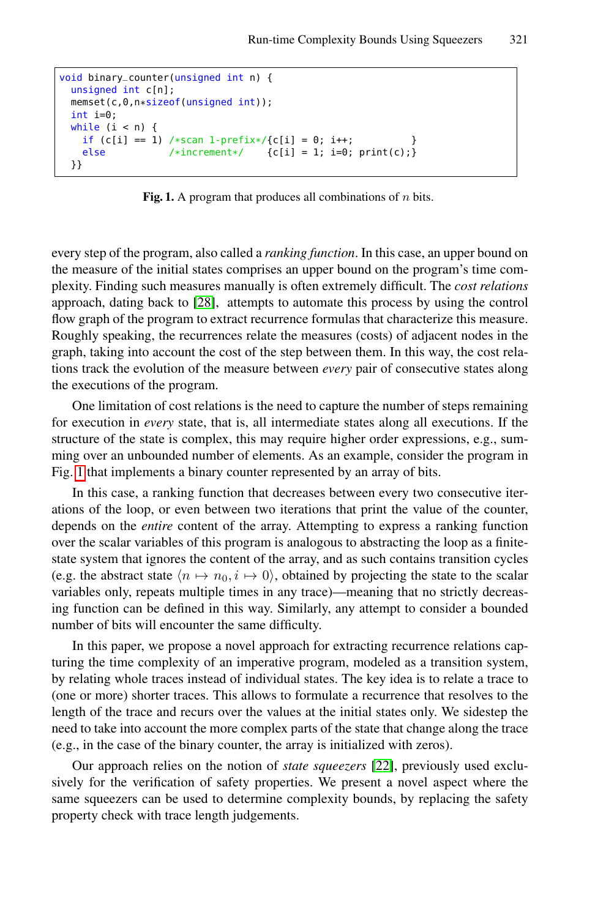```
void binary_counter(unsigned int n) {
  unsigned int c[n]:
  memset(c.0.n*sizeof(unsigned int)):
  int i=0;
  while (i < n) {
    if (c[i] == 1) /*scan 1-prefix*/{c[i] = 0; i++;<br>else /*increment*/ {c[i] = 1; i=0; print(c);}
                                           {c[i] = 1; i=0; print(c)};}}
```
<span id="page-1-0"></span>Fig. 1. A program that produces all combinations of  $n$  bits.

every step of the program, also called a *ranking function*. In this case, an upper bound on the measure of the initial states comprises an upper bound on the program's time complexity. Finding such measures manually is often extremely difficult. The *cost relations* approach, dating back to [\[28\]](#page-26-1), attempts to automate this process by using the control flow graph of the program to extract recurrence formulas that characterize this measure. Roughly speaking, the recurrences relate the measures (costs) of adjacent nodes in the graph, taking into account the cost of the step between them. In this way, the cost relations track the evolution of the measure between *every* pair of consecutive states along the executions of the program.

One limitation of cost relations is the need to capture the number of steps remaining for execution in *every* state, that is, all intermediate states along all executions. If the structure of the state is complex, this may require higher order expressions, e.g., summing over an unbounded number of elements. As an example, consider the program in Fig. [1](#page-1-0) that implements a binary counter represented by an array of bits.

In this case, a ranking function that decreases between every two consecutive iterations of the loop, or even between two iterations that print the value of the counter, depends on the *entire* content of the array. Attempting to express a ranking function over the scalar variables of this program is analogous to abstracting the loop as a finitestate system that ignores the content of the array, and as such contains transition cycles (e.g. the abstract state  $\langle n \mapsto n_0, i \mapsto 0 \rangle$ , obtained by projecting the state to the scalar variables only, repeats multiple times in any trace)—meaning that no strictly decreasing function can be defined in this way. Similarly, any attempt to consider a bounded number of bits will encounter the same difficulty.

In this paper, we propose a novel approach for extracting recurrence relations capturing the time complexity of an imperative program, modeled as a transition system, by relating whole traces instead of individual states. The key idea is to relate a trace to (one or more) shorter traces. This allows to formulate a recurrence that resolves to the length of the trace and recurs over the values at the initial states only. We sidestep the need to take into account the more complex parts of the state that change along the trace (e.g., in the case of the binary counter, the array is initialized with zeros).

Our approach relies on the notion of *state squeezers* [\[22\]](#page-26-5), previously used exclusively for the verification of safety properties. We present a novel aspect where the same squeezers can be used to determine complexity bounds, by replacing the safety property check with trace length judgements.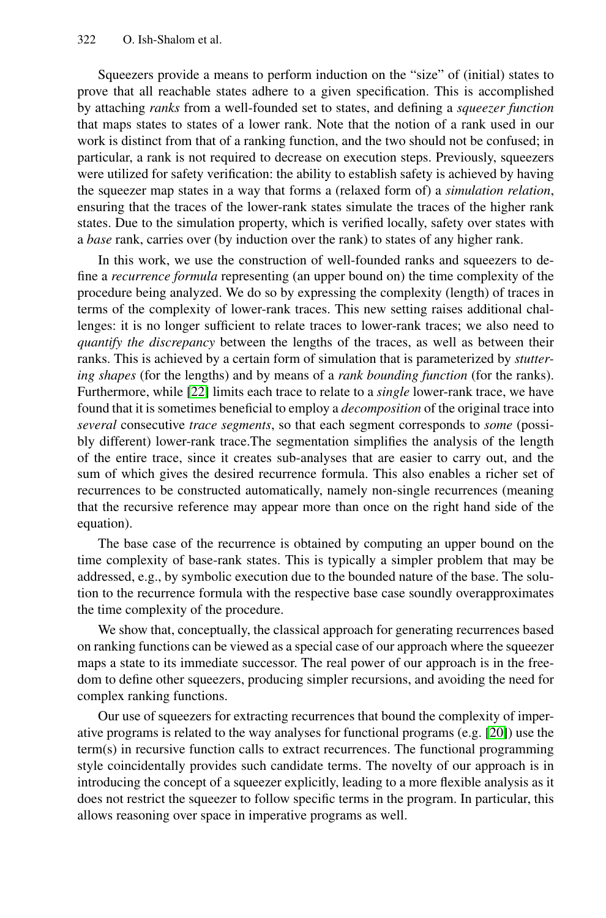Squeezers provide a means to perform induction on the "size" of (initial) states to prove that all reachable states adhere to a given specification. This is accomplished by attaching *ranks* from a well-founded set to states, and defining a *squeezer function* that maps states to states of a lower rank. Note that the notion of a rank used in our work is distinct from that of a ranking function, and the two should not be confused; in particular, a rank is not required to decrease on execution steps. Previously, squeezers were utilized for safety verification: the ability to establish safety is achieved by having the squeezer map states in a way that forms a (relaxed form of) a *simulation relation*, ensuring that the traces of the lower-rank states simulate the traces of the higher rank states. Due to the simulation property, which is verified locally, safety over states with a *base* rank, carries over (by induction over the rank) to states of any higher rank.

In this work, we use the construction of well-founded ranks and squeezers to define a *recurrence formula* representing (an upper bound on) the time complexity of the procedure being analyzed. We do so by expressing the complexity (length) of traces in terms of the complexity of lower-rank traces. This new setting raises additional challenges: it is no longer sufficient to relate traces to lower-rank traces; we also need to *quantify the discrepancy* between the lengths of the traces, as well as between their ranks. This is achieved by a certain form of simulation that is parameterized by *stuttering shapes* (for the lengths) and by means of a *rank bounding function* (for the ranks). Furthermore, while [\[22\]](#page-26-5) limits each trace to relate to a *single* lower-rank trace, we have found that it is sometimes beneficial to employ a *decomposition* of the original trace into *several* consecutive *trace segments*, so that each segment corresponds to *some* (possibly different) lower-rank trace.The segmentation simplifies the analysis of the length of the entire trace, since it creates sub-analyses that are easier to carry out, and the sum of which gives the desired recurrence formula. This also enables a richer set of recurrences to be constructed automatically, namely non-single recurrences (meaning that the recursive reference may appear more than once on the right hand side of the equation).

The base case of the recurrence is obtained by computing an upper bound on the time complexity of base-rank states. This is typically a simpler problem that may be addressed, e.g., by symbolic execution due to the bounded nature of the base. The solution to the recurrence formula with the respective base case soundly overapproximates the time complexity of the procedure.

We show that, conceptually, the classical approach for generating recurrences based on ranking functions can be viewed as a special case of our approach where the squeezer maps a state to its immediate successor. The real power of our approach is in the freedom to define other squeezers, producing simpler recursions, and avoiding the need for complex ranking functions.

Our use of squeezers for extracting recurrences that bound the complexity of imperative programs is related to the way analyses for functional programs (e.g. [\[20\]](#page-26-6)) use the term(s) in recursive function calls to extract recurrences. The functional programming style coincidentally provides such candidate terms. The novelty of our approach is in introducing the concept of a squeezer explicitly, leading to a more flexible analysis as it does not restrict the squeezer to follow specific terms in the program. In particular, this allows reasoning over space in imperative programs as well.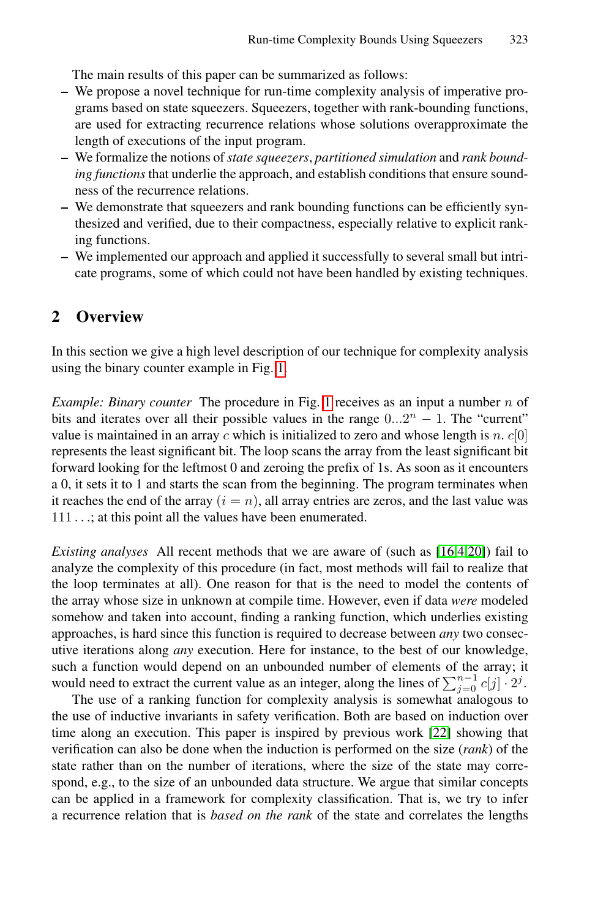The main results of this paper can be summarized as follows:

- We propose a novel technique for run-time complexity analysis of imperative programs based on state squeezers. Squeezers, together with rank-bounding functions, are used for extracting recurrence relations whose solutions overapproximate the length of executions of the input program.
- We formalize the notions of*state squeezers*, *partitioned simulation* and *rank bounding functions* that underlie the approach, and establish conditions that ensure soundness of the recurrence relations.
- We demonstrate that squeezers and rank bounding functions can be efficiently synthesized and verified, due to their compactness, especially relative to explicit ranking functions.
- We implemented our approach and applied it successfully to several small but intricate programs, some of which could not have been handled by existing techniques.

### <span id="page-3-0"></span>2 Overview

In this section we give a high level description of our technique for complexity analysis using the binary counter example in Fig. [1.](#page-1-0)

*Example: Binary counter* The procedure in Fig. [1](#page-1-0) receives as an input a number n of bits and iterates over all their possible values in the range  $0...2<sup>n</sup> - 1$ . The "current" value is maintained in an array c which is initialized to zero and whose length is n.  $c[0]$ represents the least significant bit. The loop scans the array from the least significant bit forward looking for the leftmost 0 and zeroing the prefix of 1s. As soon as it encounters a 0, it sets it to 1 and starts the scan from the beginning. The program terminates when it reaches the end of the array  $(i = n)$ , all array entries are zeros, and the last value was 111...; at this point all the values have been enumerated.

*Existing analyses* All recent methods that we are aware of (such as [\[16](#page-26-3)[,4](#page-25-4)[,20\]](#page-26-6)) fail to analyze the complexity of this procedure (in fact, most methods will fail to realize that the loop terminates at all). One reason for that is the need to model the contents of the array whose size in unknown at compile time. However, even if data *were* modeled somehow and taken into account, finding a ranking function, which underlies existing approaches, is hard since this function is required to decrease between *any* two consecutive iterations along *any* execution. Here for instance, to the best of our knowledge, such a function would depend on an unbounded number of elements of the array; it would need to extract the current value as an integer, along the lines of  $\sum_{j=0}^{n-1} c[j] \cdot 2^j$ .

The use of a ranking function for complexity analysis is somewhat analogous to the use of inductive invariants in safety verification. Both are based on induction over time along an execution. This paper is inspired by previous work [\[22\]](#page-26-5) showing that verification can also be done when the induction is performed on the size (*rank*) of the state rather than on the number of iterations, where the size of the state may correspond, e.g., to the size of an unbounded data structure. We argue that similar concepts can be applied in a framework for complexity classification. That is, we try to infer a recurrence relation that is *based on the rank* of the state and correlates the lengths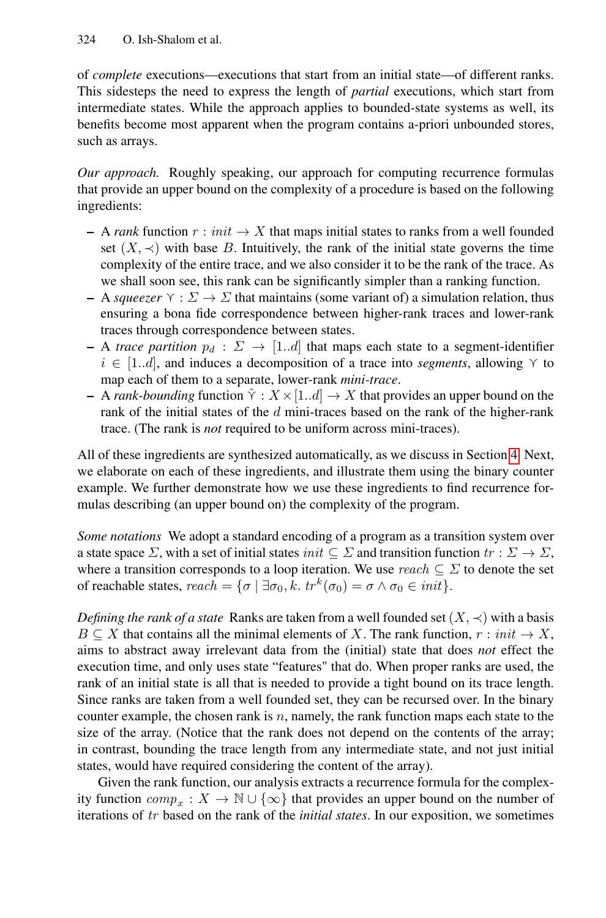of *complete* executions—executions that start from an initial state—of different ranks. This sidesteps the need to express the length of *partial* executions, which start from intermediate states. While the approach applies to bounded-state systems as well, its benefits become most apparent when the program contains a-priori unbounded stores, such as arrays.

*Our approach.* Roughly speaking, our approach for computing recurrence formulas that provide an upper bound on the complexity of a procedure is based on the following ingredients:

- $-$  A *rank* function  $r : init \rightarrow X$  that maps initial states to ranks from a well founded set  $(X, \prec)$  with base B. Intuitively, the rank of the initial state governs the time complexity of the entire trace, and we also consider it to be the rank of the trace. As we shall soon see, this rank can be significantly simpler than a ranking function.
- $-$  A *squeezer*  $\gamma : \Sigma \to \Sigma$  that maintains (some variant of) a simulation relation, thus ensuring a bona fide correspondence between higher-rank traces and lower-rank traces through correspondence between states.
- $-$  A *trace partition*  $p_d$  :  $\Sigma \rightarrow [1..d]$  that maps each state to a segment-identifier  $i \in [1..d]$ , and induces a decomposition of a trace into *segments*, allowing  $\gamma$  to map each of them to a separate, lower-rank *mini-trace*.
- $-$  A *rank-bounding* function  $\hat{Y}: X \times [1..d] \rightarrow X$  that provides an upper bound on the rank of the initial states of the  $d$  mini-traces based on the rank of the higher-rank trace. (The rank is *not* required to be uniform across mini-traces).

All of these ingredients are synthesized automatically, as we discuss in Section [4.](#page-18-0) Next, we elaborate on each of these ingredients, and illustrate them using the binary counter example. We further demonstrate how we use these ingredients to find recurrence formulas describing (an upper bound on) the complexity of the program.

*Some notations* We adopt a standard encoding of a program as a transition system over a state space  $\Sigma$ , with a set of initial states  $init \subseteq \Sigma$  and transition function  $tr : \Sigma \to \Sigma$ , where a transition corresponds to a loop iteration. We use  $reach \subseteq \Sigma$  to denote the set of reachable states,  $reach = \{\sigma \mid \exists \sigma_0, k. \, tr^k(\sigma_0) = \sigma \land \sigma_0 \in init\}.$ 

*Defining the rank of a state* Ranks are taken from a well founded set  $(X, \prec)$  with a basis  $B \subseteq X$  that contains all the minimal elements of X. The rank function,  $r : init \to X$ , aims to abstract away irrelevant data from the (initial) state that does *not* effect the execution time, and only uses state "features" that do. When proper ranks are used, the rank of an initial state is all that is needed to provide a tight bound on its trace length. Since ranks are taken from a well founded set, they can be recursed over. In the binary counter example, the chosen rank is  $n$ , namely, the rank function maps each state to the size of the array. (Notice that the rank does not depend on the contents of the array; in contrast, bounding the trace length from any intermediate state, and not just initial states, would have required considering the content of the array).

Given the rank function, our analysis extracts a recurrence formula for the complexity function  $comp_x : X \to \mathbb{N} \cup \{\infty\}$  that provides an upper bound on the number of iterations of tr based on the rank of the *initial states*. In our exposition, we sometimes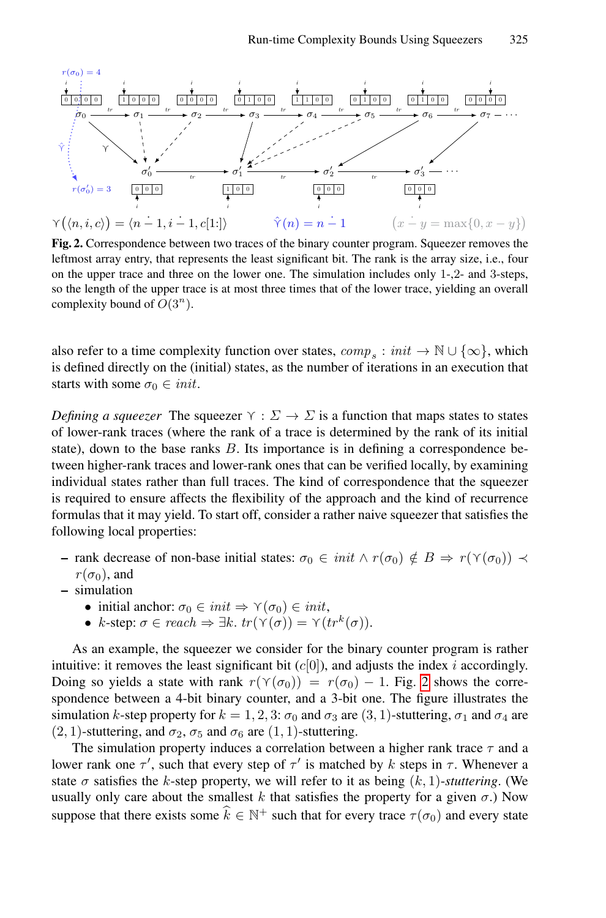

<span id="page-5-0"></span>Fig. 2. Correspondence between two traces of the binary counter program. Squeezer removes the leftmost array entry, that represents the least significant bit. The rank is the array size, i.e., four on the upper trace and three on the lower one. The simulation includes only 1-,2- and 3-steps, so the length of the upper trace is at most three times that of the lower trace, yielding an overall complexity bound of  $O(3^n)$ .

also refer to a time complexity function over states,  $comp_s : init \rightarrow \mathbb{N} \cup {\infty}$ , which is defined directly on the (initial) states, as the number of iterations in an execution that starts with some  $\sigma_0 \in init$ .

*Defining a squeezer* The squeezer  $\gamma : \Sigma \to \Sigma$  is a function that maps states to states of lower-rank traces (where the rank of a trace is determined by the rank of its initial state), down to the base ranks  $B$ . Its importance is in defining a correspondence between higher-rank traces and lower-rank ones that can be verified locally, by examining individual states rather than full traces. The kind of correspondence that the squeezer is required to ensure affects the flexibility of the approach and the kind of recurrence formulas that it may yield. To start off, consider a rather naive squeezer that satisfies the following local properties:

- rank decrease of non-base initial states:  $\sigma_0 \in init \wedge r(\sigma_0) \notin B \Rightarrow r(\Upsilon(\sigma_0)) \prec$  $r(\sigma_0)$ , and
- simulation
	- initial anchor:  $\sigma_0 \in init \Rightarrow \Upsilon(\sigma_0) \in init$ ,
	- k-step:  $\sigma \in reach \Rightarrow \exists k. \ tr(\Upsilon(\sigma)) = \Upsilon(tr^k(\sigma)).$

As an example, the squeezer we consider for the binary counter program is rather intuitive: it removes the least significant bit  $(c[0])$ , and adjusts the index *i* accordingly. Doing so yields a state with rank  $r(\Upsilon(\sigma_0)) = r(\sigma_0) - 1$ . Fig. [2](#page-5-0) shows the correspondence between a 4-bit binary counter, and a 3-bit one. The figure illustrates the simulation k-step property for  $k = 1, 2, 3$ :  $\sigma_0$  and  $\sigma_3$  are  $(3, 1)$ -stuttering,  $\sigma_1$  and  $\sigma_4$  are  $(2, 1)$ -stuttering, and  $\sigma_2$ ,  $\sigma_5$  and  $\sigma_6$  are  $(1, 1)$ -stuttering.

The simulation property induces a correlation between a higher rank trace  $\tau$  and a lower rank one  $\tau'$ , such that every step of  $\tau'$  is matched by k steps in  $\tau$ . Whenever a state  $\sigma$  satisfies the k-step property, we will refer to it as being  $(k, 1)$ -stuttering. (We usually only care about the smallest k that satisfies the property for a given  $\sigma$ .) Now suppose that there exists some  $\hat{k} \in \mathbb{N}^+$  such that for every trace  $\tau(\sigma_0)$  and every state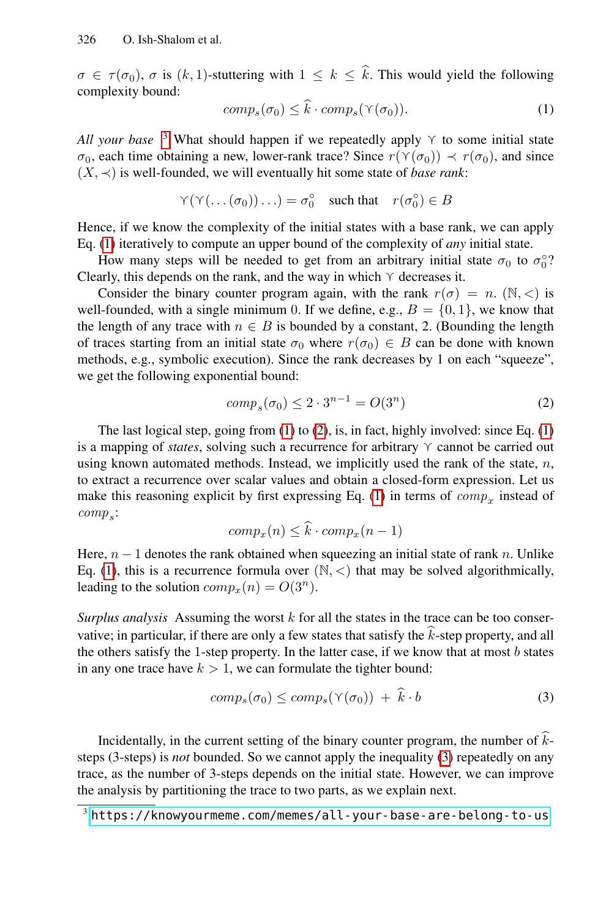$\sigma \in \tau(\sigma_0)$ ,  $\sigma$  is  $(k, 1)$ -stuttering with  $1 \leq k \leq \hat{k}$ . This would yield the following complexity bound:

<span id="page-6-1"></span>
$$
comps(\sigma0) \leq \hat{k} \cdot comps(\gamma(\sigma0)).
$$
\n(1)

All your base  $3$  What should happen if we repeatedly apply  $\gamma$  to some initial state  $\sigma_0$ , each time obtaining a new, lower-rank trace? Since  $r(\Upsilon(\sigma_0)) \prec r(\sigma_0)$ , and since  $(X, \prec)$  is well-founded, we will eventually hit some state of *base rank*:

$$
\Upsilon(\Upsilon(\ldots(\sigma_0))\ldots) = \sigma_0^\circ \quad \text{such that} \quad r(\sigma_0^\circ) \in B
$$

Hence, if we know the complexity of the initial states with a base rank, we can apply Eq. [\(1\)](#page-6-1) iteratively to compute an upper bound of the complexity of *any* initial state.

How many steps will be needed to get from an arbitrary initial state  $\sigma_0$  to  $\sigma_0^{\circ}$ ? Clearly, this depends on the rank, and the way in which  $\gamma$  decreases it.

Consider the binary counter program again, with the rank  $r(\sigma) = n$ . (N, <) is well-founded, with a single minimum 0. If we define, e.g.,  $B = \{0, 1\}$ , we know that the length of any trace with  $n \in B$  is bounded by a constant, 2. (Bounding the length of traces starting from an initial state  $\sigma_0$  where  $r(\sigma_0) \in B$  can be done with known methods, e.g., symbolic execution). Since the rank decreases by 1 on each "squeeze", we get the following exponential bound:

<span id="page-6-2"></span>
$$
comps(\sigma0) \le 2 \cdot 3n-1 = O(3n)
$$
 (2)

The last logical step, going from [\(1\)](#page-6-1) to [\(2\)](#page-6-2), is, in fact, highly involved: since Eq. [\(1\)](#page-6-1) is a mapping of *states*, solving such a recurrence for arbitrary  $\gamma$  cannot be carried out using known automated methods. Instead, we implicitly used the rank of the state,  $n$ , to extract a recurrence over scalar values and obtain a closed-form expression. Let us make this reasoning explicit by first expressing Eq. [\(1\)](#page-6-1) in terms of  $comp<sub>x</sub>$  instead of  $comp_s$ :

$$
comp_x(n) \leq \hat{k} \cdot comp_x(n-1)
$$

Here,  $n - 1$  denotes the rank obtained when squeezing an initial state of rank n. Unlike Eq. [\(1\)](#page-6-1), this is a recurrence formula over  $(N, <)$  that may be solved algorithmically, leading to the solution  $comp_x(n) = O(3^n)$ .

*Surplus analysis* Assuming the worst  $k$  for all the states in the trace can be too conservative; in particular, if there are only a few states that satisfy the  $k$ -step property, and all the others satisfy the 1-step property. In the latter case, if we know that at most b states in any one trace have  $k > 1$ , we can formulate the tighter bound:

<span id="page-6-3"></span>
$$
comp_s(\sigma_0) \le comp_s(\Upsilon(\sigma_0)) + \hat{k} \cdot b \tag{3}
$$

Incidentally, in the current setting of the binary counter program, the number of ksteps (3-steps) is *not* bounded. So we cannot apply the inequality [\(3\)](#page-6-3) repeatedly on any trace, as the number of 3-steps depends on the initial state. However, we can improve the analysis by partitioning the trace to two parts, as we explain next.

<span id="page-6-0"></span><sup>3</sup> <https://knowyourmeme.com/memes/all-your-base-are-belong-to-us>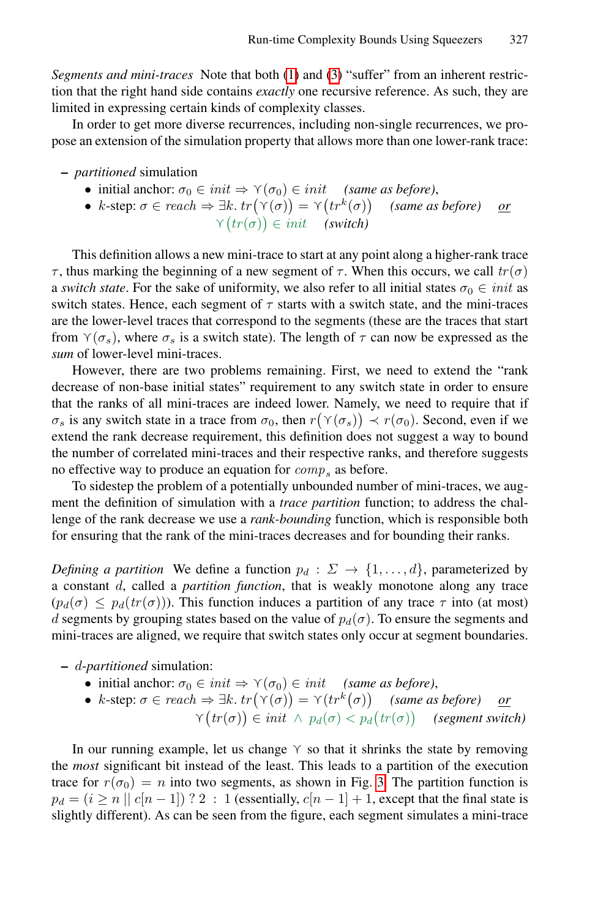*Segments and mini-traces* Note that both [\(1\)](#page-6-1) and [\(3\)](#page-6-3) "suffer" from an inherent restriction that the right hand side contains *exactly* one recursive reference. As such, they are limited in expressing certain kinds of complexity classes.

In order to get more diverse recurrences, including non-single recurrences, we propose an extension of the simulation property that allows more than one lower-rank trace:

– *partitioned* simulation

- initial anchor:  $\sigma_0 \in init \Rightarrow \gamma(\sigma_0) \in init$  *(same as before)*,
- k-step:  $\sigma \in reach \Rightarrow \exists k. tr(\Upsilon(\sigma)) = \Upsilon(tr^k(\sigma))$  *(same as before) or*  $\gamma\big(tr(\sigma)\big) \in init$  (switch)

This definition allows a new mini-trace to start at any point along a higher-rank trace τ, thus marking the beginning of a new segment of τ. When this occurs, we call  $tr(σ)$ a *switch state*. For the sake of uniformity, we also refer to all initial states  $\sigma_0 \in \text{init}$  as switch states. Hence, each segment of  $\tau$  starts with a switch state, and the mini-traces are the lower-level traces that correspond to the segments (these are the traces that start from  $\Upsilon(\sigma_s)$ , where  $\sigma_s$  is a switch state). The length of  $\tau$  can now be expressed as the *sum* of lower-level mini-traces.

However, there are two problems remaining. First, we need to extend the "rank decrease of non-base initial states" requirement to any switch state in order to ensure that the ranks of all mini-traces are indeed lower. Namely, we need to require that if  $\sigma_s$  is any switch state in a trace from  $\sigma_0$ , then  $r(\Upsilon(\sigma_s)) \prec r(\sigma_0)$ . Second, even if we extend the rank decrease requirement, this definition does not suggest a way to bound the number of correlated mini-traces and their respective ranks, and therefore suggests no effective way to produce an equation for  $comp<sub>s</sub>$  as before.

To sidestep the problem of a potentially unbounded number of mini-traces, we augment the definition of simulation with a *trace partition* function; to address the challenge of the rank decrease we use a *rank-bounding* function, which is responsible both for ensuring that the rank of the mini-traces decreases and for bounding their ranks.

*Defining a partition* We define a function  $p_d : \Sigma \to \{1, \ldots, d\}$ , parameterized by a constant d, called a *partition function*, that is weakly monotone along any trace  $(p_d(\sigma) \leq p_d(tr(\sigma)))$ . This function induces a partition of any trace  $\tau$  into (at most) d segments by grouping states based on the value of  $p_d(\sigma)$ . To ensure the segments and mini-traces are aligned, we require that switch states only occur at segment boundaries.

– d-*partitioned* simulation:

- initial anchor:  $\sigma_0 \in init \Rightarrow \gamma(\sigma_0) \in init$  *(same as before)*,
- k-step: *σ* ∈ *reach*  $\Rightarrow \exists k. \text{ tr}(\Upsilon(\sigma)) = \Upsilon(tr^k(\sigma))$  (same as before) <u>or</u>  $\gamma\big(tr(\sigma)\big) \in init \ \land \ p_d(\sigma) < p_d\big(tr(\sigma)\big) \quad \text{(segment switch)}$

In our running example, let us change  $\gamma$  so that it shrinks the state by removing the *most* significant bit instead of the least. This leads to a partition of the execution trace for  $r(\sigma_0) = n$  into two segments, as shown in Fig. [3.](#page-8-0) The partition function is  $p_d = (i \ge n \mid c[n-1])$  ? 2 : 1 (essentially,  $c[n-1] + 1$ , except that the final state is slightly different). As can be seen from the figure, each segment simulates a mini-trace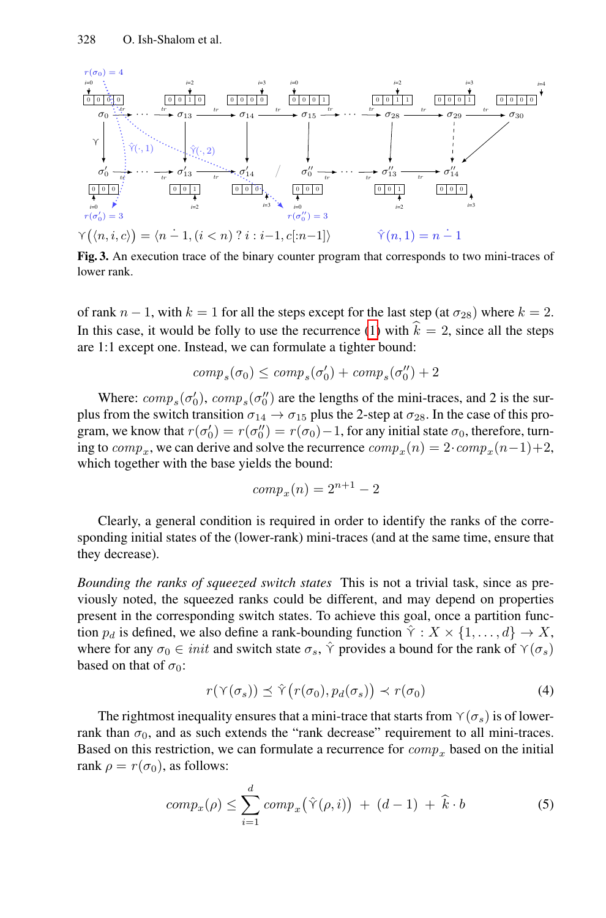

<span id="page-8-0"></span>Fig. 3. An execution trace of the binary counter program that corresponds to two mini-traces of lower rank.

of rank  $n-1$ , with  $k = 1$  for all the steps except for the last step (at  $\sigma_{28}$ ) where  $k = 2$ . In this case, it would be folly to use the recurrence [\(1\)](#page-6-1) with  $k = 2$ , since all the steps are 1:1 except one. Instead, we can formulate a tighter bound:

$$
comps(\sigma_0) \leq comps(\sigma'_0) + comps(\sigma''_0) + 2
$$

Where:  $comp_s(\sigma_0), comp_s(\sigma_0'')$  are the lengths of the mini-traces, and 2 is the surplus from the switch transition  $\sigma_{14} \rightarrow \sigma_{15}$  plus the 2-step at  $\sigma_{28}$ . In the case of this program, we know that  $r(\sigma'_0) = r(\sigma''_0) = r(\sigma_0) - 1$ , for any initial state  $\sigma_0$ , therefore, turning to  $comp_x$ , we can derive and solve the recurrence  $comp_x(n)=2\cdot comp_x(n-1)+2$ , which together with the base yields the bound:

$$
comp_x(n) = 2^{n+1} - 2
$$

Clearly, a general condition is required in order to identify the ranks of the corresponding initial states of the (lower-rank) mini-traces (and at the same time, ensure that they decrease).

*Bounding the ranks of squeezed switch states* This is not a trivial task, since as previously noted, the squeezed ranks could be different, and may depend on properties present in the corresponding switch states. To achieve this goal, once a partition function  $p_d$  is defined, we also define a rank-bounding function  $\hat{\gamma}: X \times \{1, \ldots, d\} \to X$ , where for any  $\sigma_0 \in init$  and switch state  $\sigma_s$ ,  $\hat{\gamma}$  provides a bound for the rank of  $\gamma(\sigma_s)$ based on that of  $\sigma_0$ :

<span id="page-8-1"></span>
$$
r(\Upsilon(\sigma_s)) \preceq \hat{\Upsilon}\big(r(\sigma_0), p_d(\sigma_s)\big) \prec r(\sigma_0) \tag{4}
$$

The rightmost inequality ensures that a mini-trace that starts from  $\gamma(\sigma_s)$  is of lowerrank than  $\sigma_0$ , and as such extends the "rank decrease" requirement to all mini-traces. Based on this restriction, we can formulate a recurrence for  $comp<sub>x</sub>$  based on the initial rank  $\rho = r(\sigma_0)$ , as follows:

$$
comp_x(\rho) \le \sum_{i=1}^d comp_x(\hat{\gamma}(\rho, i)) + (d - 1) + \hat{k} \cdot b \tag{5}
$$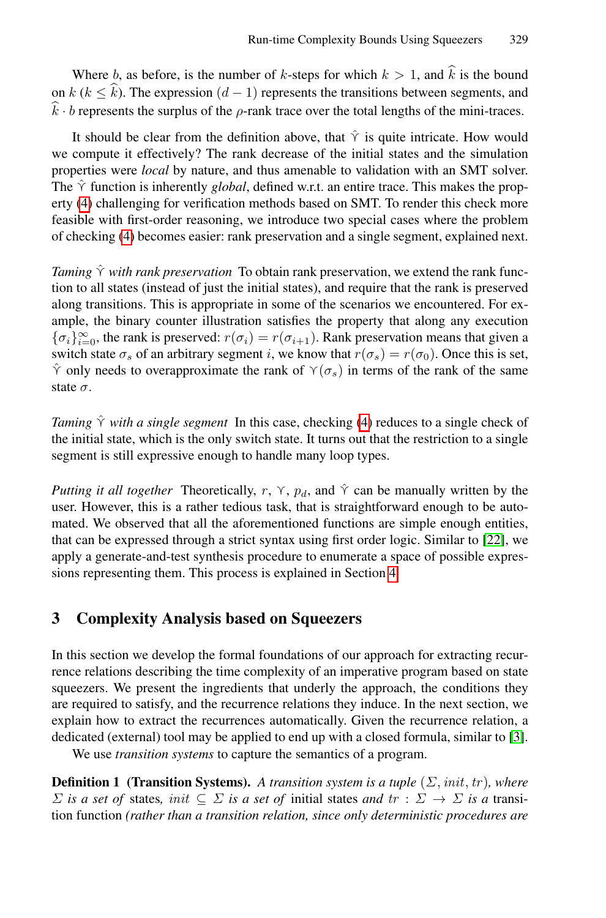Where b, as before, is the number of k-steps for which  $k > 1$ , and  $\hat{k}$  is the bound on k ( $k \leq \hat{k}$ ). The expression  $(d-1)$  represents the transitions between segments, and  $\hat{k} \cdot b$  represents the surplus of the  $\rho$ -rank trace over the total lengths of the mini-traces.

It should be clear from the definition above, that  $\hat{\gamma}$  is quite intricate. How would we compute it effectively? The rank decrease of the initial states and the simulation properties were *local* by nature, and thus amenable to validation with an SMT solver. The  $\hat{\gamma}$  function is inherently *global*, defined w.r.t. an entire trace. This makes the property [\(4\)](#page-8-1) challenging for verification methods based on SMT. To render this check more feasible with first-order reasoning, we introduce two special cases where the problem of checking [\(4\)](#page-8-1) becomes easier: rank preservation and a single segment, explained next.

*Taming*  $\hat{\gamma}$  *with rank preservation* To obtain rank preservation, we extend the rank function to all states (instead of just the initial states), and require that the rank is preserved along transitions. This is appropriate in some of the scenarios we encountered. For example, the binary counter illustration satisfies the property that along any execution  ${\{\sigma_i\}}_{i=0}^{\infty}$ , the rank is preserved:  $r(\sigma_i) = r(\sigma_{i+1})$ . Rank preservation means that given a switch state  $\sigma_s$  of an arbitrary segment i, we know that  $r(\sigma_s) = r(\sigma_0)$ . Once this is set,  $\hat{\gamma}$  only needs to overapproximate the rank of  $\gamma(\sigma_s)$  in terms of the rank of the same state  $\sigma$ .

*Taming*  $\hat{\gamma}$  *with a single segment* In this case, checking [\(4\)](#page-8-1) reduces to a single check of the initial state, which is the only switch state. It turns out that the restriction to a single segment is still expressive enough to handle many loop types.

*Putting it all together* Theoretically,  $r, \gamma, p_d$ , and  $\hat{\gamma}$  can be manually written by the user. However, this is a rather tedious task, that is straightforward enough to be automated. We observed that all the aforementioned functions are simple enough entities, that can be expressed through a strict syntax using first order logic. Similar to [\[22\]](#page-26-5), we apply a generate-and-test synthesis procedure to enumerate a space of possible expressions representing them. This process is explained in Section [4.](#page-18-0)

### 3 Complexity Analysis based on Squeezers

In this section we develop the formal foundations of our approach for extracting recurrence relations describing the time complexity of an imperative program based on state squeezers. We present the ingredients that underly the approach, the conditions they are required to satisfy, and the recurrence relations they induce. In the next section, we explain how to extract the recurrences automatically. Given the recurrence relation, a dedicated (external) tool may be applied to end up with a closed formula, similar to [\[3\]](#page-25-0).

We use *transition systems* to capture the semantics of a program.

**Definition 1 (Transition Systems).** A transition system is a tuple  $(\Sigma, init, tr)$ , where  $\Sigma$  *is a set of states, init*  $\subseteq \Sigma$  *is a set of initial states and tr :*  $\Sigma \to \Sigma$  *is a transi*tion function *(rather than a transition relation, since only deterministic procedures are*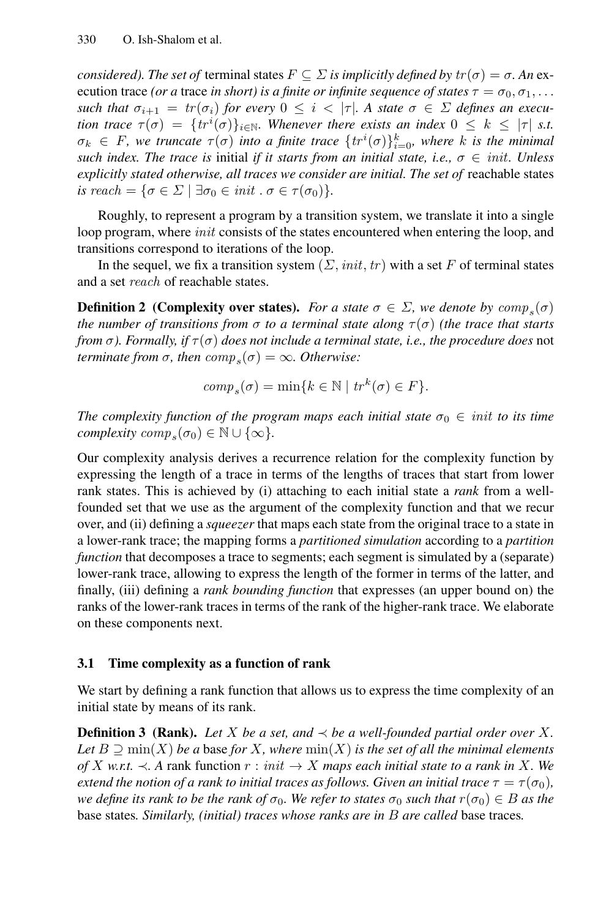*considered). The set of terminal states*  $F \subseteq \Sigma$  *is implicitly defined by*  $tr(\sigma) = \sigma$ . An execution trace *(or a* trace *in short)* is a finite or infinite sequence of states  $\tau = \sigma_0, \sigma_1, \ldots$ *such that*  $\sigma_{i+1} = tr(\sigma_i)$  *for every*  $0 \leq i < |\tau|$ . A state  $\sigma \in \Sigma$  *defines an execution trace*  $\tau(\sigma) = \{tr^i(\sigma)\}_{i \in \mathbb{N}}$ *. Whenever there exists an index*  $0 \leq k \leq |\tau|$  *s.t.*  $\sigma_k \in F$ , we truncate  $\tau(\sigma)$  into a finite trace  $\{tr^i(\sigma)\}_{i=0}^k$ , where k is the minimal *such index. The trace is initial if it starts from an initial state, i.e.,*  $\sigma \in \text{init. Unless}$ *explicitly stated otherwise, all traces we consider are initial. The set of* reachable states *is* reach = { $\sigma \in \Sigma \mid \exists \sigma_0 \in init \cdot \sigma \in \tau(\sigma_0)$  }.

Roughly, to represent a program by a transition system, we translate it into a single loop program, where *init* consists of the states encountered when entering the loop, and transitions correspond to iterations of the loop.

In the sequel, we fix a transition system ( $\Sigma$ , init, tr) with a set F of terminal states and a set reach of reachable states.

**Definition 2 (Complexity over states).** *For a state*  $\sigma \in \Sigma$ *, we denote by*  $comp_s(\sigma)$ *the number of transitions from*  $\sigma$  *to a terminal state along*  $\tau(\sigma)$  *(the trace that starts from*  $\sigma$ *). Formally, if*  $\tau(\sigma)$  *does not include a terminal state, i.e., the procedure does* not *terminate from*  $\sigma$ *, then*  $comp_s(\sigma) = \infty$ *. Otherwise:* 

$$
comps(\sigma) = \min\{k \in \mathbb{N} \mid tr^k(\sigma) \in F\}.
$$

*The complexity function of the program maps each initial state*  $\sigma_0 \in \text{init to its time}$ *complexity*  $comp_s(\sigma_0) \in \mathbb{N} \cup \{\infty\}.$ 

Our complexity analysis derives a recurrence relation for the complexity function by expressing the length of a trace in terms of the lengths of traces that start from lower rank states. This is achieved by (i) attaching to each initial state a *rank* from a wellfounded set that we use as the argument of the complexity function and that we recur over, and (ii) defining a *squeezer* that maps each state from the original trace to a state in a lower-rank trace; the mapping forms a *partitioned simulation* according to a *partition function* that decomposes a trace to segments; each segment is simulated by a (separate) lower-rank trace, allowing to express the length of the former in terms of the latter, and finally, (iii) defining a *rank bounding function* that expresses (an upper bound on) the ranks of the lower-rank traces in terms of the rank of the higher-rank trace. We elaborate on these components next.

### 3.1 Time complexity as a function of rank

We start by defining a rank function that allows us to express the time complexity of an initial state by means of its rank.

**Definition 3 (Rank).** Let X be a set, and  $\prec$  be a well-founded partial order over X. *Let*  $B \supseteq \min(X)$  *be a base for* X, where  $\min(X)$  *is the set of all the minimal elements of X w.r.t.*  $\prec$ *. A* rank function  $r : init \to X$  *maps each initial state to a rank in X. We extend the notion of a rank to initial traces as follows. Given an initial trace*  $\tau = \tau(\sigma_0)$ *, we define its rank to be the rank of*  $\sigma_0$ *. We refer to states*  $\sigma_0$  *such that*  $r(\sigma_0) \in B$  *as the* base states*. Similarly, (initial) traces whose ranks are in* B *are called* base traces*.*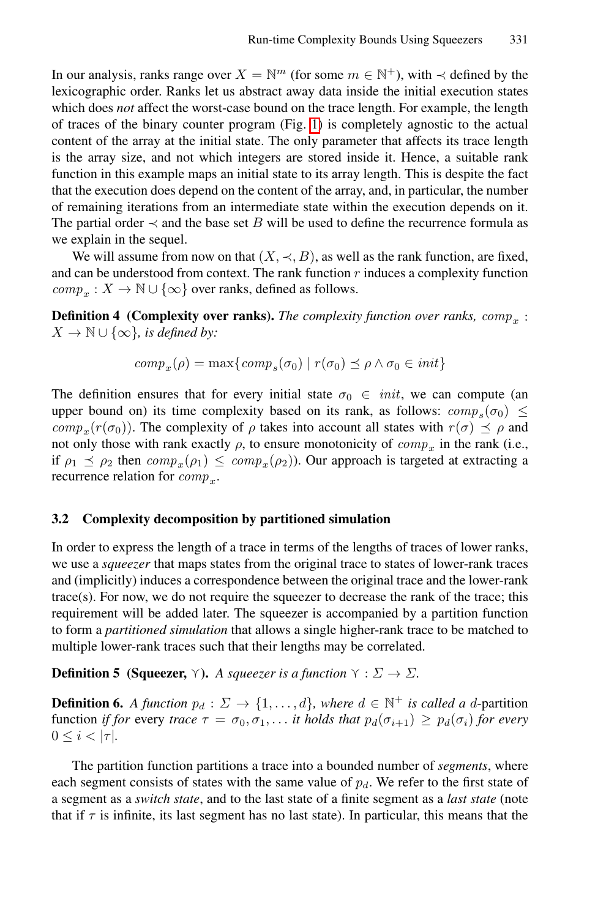In our analysis, ranks range over  $X = \mathbb{N}^m$  (for some  $m \in \mathbb{N}^+$ ), with  $\prec$  defined by the lexicographic order. Ranks let us abstract away data inside the initial execution states which does *not* affect the worst-case bound on the trace length. For example, the length of traces of the binary counter program (Fig. [1\)](#page-1-0) is completely agnostic to the actual content of the array at the initial state. The only parameter that affects its trace length is the array size, and not which integers are stored inside it. Hence, a suitable rank function in this example maps an initial state to its array length. This is despite the fact that the execution does depend on the content of the array, and, in particular, the number of remaining iterations from an intermediate state within the execution depends on it. The partial order  $\prec$  and the base set B will be used to define the recurrence formula as we explain in the sequel.

We will assume from now on that  $(X, \prec, B)$ , as well as the rank function, are fixed, and can be understood from context. The rank function  $r$  induces a complexity function  $comp_x : X \to \mathbb{N} \cup \{\infty\}$  over ranks, defined as follows.

**Definition 4 (Complexity over ranks).** *The complexity function over ranks,*  $comp_x$ *:*  $X \to \mathbb{N} \cup \{\infty\}$ *, is defined by:* 

$$
comp_x(\rho) = \max \{ comp_s(\sigma_0) \mid r(\sigma_0) \preceq \rho \land \sigma_0 \in init \}
$$

The definition ensures that for every initial state  $\sigma_0 \in init$ , we can compute (an upper bound on) its time complexity based on its rank, as follows:  $comp_s(\sigma_0) \leq$  $comp<sub>x</sub>(r(\sigma_0))$ . The complexity of  $\rho$  takes into account all states with  $r(\sigma) \preceq \rho$  and not only those with rank exactly  $\rho$ , to ensure monotonicity of  $comp<sub>x</sub>$  in the rank (i.e., if  $\rho_1 \preceq \rho_2$  then  $comp_{r}(\rho_1) \preceq comp_{r}(\rho_2)$ ). Our approach is targeted at extracting a recurrence relation for  $comp<sub>x</sub>$ .

#### 3.2 Complexity decomposition by partitioned simulation

In order to express the length of a trace in terms of the lengths of traces of lower ranks, we use a *squeezer* that maps states from the original trace to states of lower-rank traces and (implicitly) induces a correspondence between the original trace and the lower-rank trace(s). For now, we do not require the squeezer to decrease the rank of the trace; this requirement will be added later. The squeezer is accompanied by a partition function to form a *partitioned simulation* that allows a single higher-rank trace to be matched to multiple lower-rank traces such that their lengths may be correlated.

**Definition 5** (Squeezer,  $\gamma$ ). A squeezer is a function  $\gamma : \Sigma \to \Sigma$ .

**Definition 6.** *A function*  $p_d : \Sigma \to \{1, \ldots, d\}$ *, where*  $d \in \mathbb{N}^+$  *is called a d*-partition function *if for* every *trace*  $\tau = \sigma_0, \sigma_1, \ldots$  *it holds that*  $p_d(\sigma_{i+1}) \geq p_d(\sigma_i)$  *for every*  $0 \leq i < |\tau|$ .

The partition function partitions a trace into a bounded number of *segments*, where each segment consists of states with the same value of  $p_d$ . We refer to the first state of a segment as a *switch state*, and to the last state of a finite segment as a *last state* (note that if  $\tau$  is infinite, its last segment has no last state). In particular, this means that the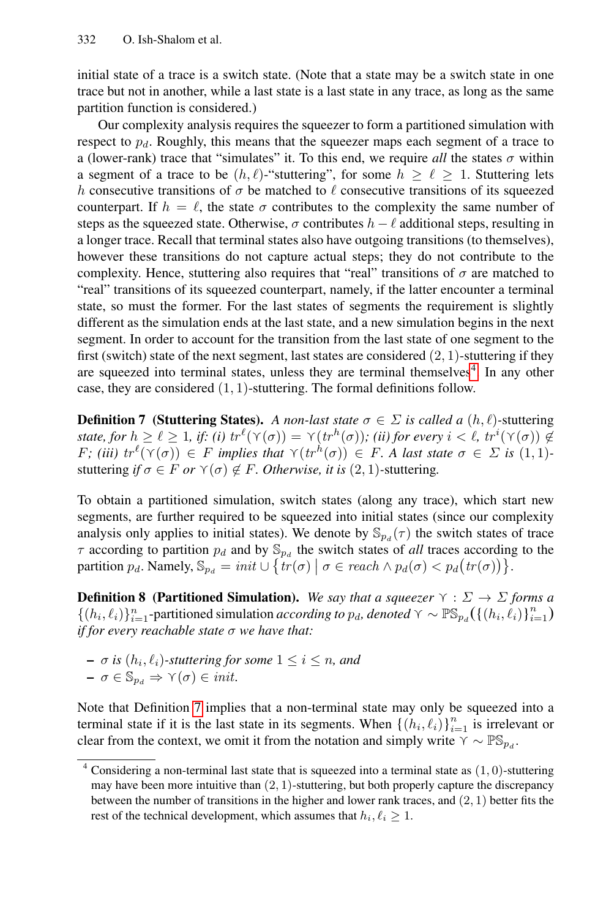initial state of a trace is a switch state. (Note that a state may be a switch state in one trace but not in another, while a last state is a last state in any trace, as long as the same partition function is considered.)

Our complexity analysis requires the squeezer to form a partitioned simulation with respect to  $p_d$ . Roughly, this means that the squeezer maps each segment of a trace to a (lower-rank) trace that "simulates" it. To this end, we require *all* the states  $\sigma$  within a segment of a trace to be  $(h, \ell)$ -"stuttering", for some  $h \ge \ell \ge 1$ . Stuttering lets h consecutive transitions of  $\sigma$  be matched to  $\ell$  consecutive transitions of its squeezed counterpart. If  $h = \ell$ , the state  $\sigma$  contributes to the complexity the same number of steps as the squeezed state. Otherwise,  $\sigma$  contributes  $h - \ell$  additional steps, resulting in a longer trace. Recall that terminal states also have outgoing transitions (to themselves), however these transitions do not capture actual steps; they do not contribute to the complexity. Hence, stuttering also requires that "real" transitions of  $\sigma$  are matched to "real" transitions of its squeezed counterpart, namely, if the latter encounter a terminal state, so must the former. For the last states of segments the requirement is slightly different as the simulation ends at the last state, and a new simulation begins in the next segment. In order to account for the transition from the last state of one segment to the first (switch) state of the next segment, last states are considered (2, 1)-stuttering if they are squeezed into terminal states, unless they are terminal themselves<sup>4</sup>. In any other case, they are considered  $(1, 1)$ -stuttering. The formal definitions follow.

<span id="page-12-1"></span>**Definition 7** (Stuttering States). *A non-last state*  $\sigma \in \Sigma$  *is called a*  $(h, \ell)$ -stuttering  $\mathcal{L}_{state}$ , for  $h \geq \ell \geq 1$ , if: (i)  $tr^{\ell}(\Upsilon(\sigma)) = \Upsilon(tr^h(\sigma))$ ; (ii) for every  $i < \ell$ ,  $tr^i(\Upsilon(\sigma)) \notin \mathbb{R}$  $F$ ; (iii)  $tr^{\ell}(\gamma(\sigma)) \in F$  *implies that*  $\gamma(tr^h(\sigma)) \in F$ . A last state  $\sigma \in \Sigma$  is (1, 1)stuttering *if*  $\sigma \in F$  *or*  $\gamma(\sigma) \notin F$ *. Otherwise, it is* (2, 1)-stuttering*.* 

To obtain a partitioned simulation, switch states (along any trace), which start new segments, are further required to be squeezed into initial states (since our complexity analysis only applies to initial states). We denote by  $\mathbb{S}_{p_d}(\tau)$  the switch states of trace  $\tau$  according to partition  $p_d$  and by  $\mathbb{S}_{p_d}$  the switch states of *all* traces according to the partition  $p_d$ . Namely,  $\mathbb{S}_{p_d} = init \cup \{ tr(\sigma) \mid \sigma \in reach \land p_d(\sigma) < p_d(tr(\sigma)) \}.$ 

<span id="page-12-2"></span>**Definition 8** (Partitioned Simulation). We say that a squeezer  $\gamma : \Sigma \to \Sigma$  forms a  $\{(h_i, \ell_i)\}_{i=1}^n$ -partitioned simulation *according to*  $p_d$ , denoted  $\gamma \sim \mathbb{PS}_{p_d}(\{(h_i, \ell_i)\}_{i=1}^n)$ *if for every reachable state* σ *we have that:*

$$
- \sigma \text{ is } (h_i, \ell_i)\text{-stuttering for some } 1 \le i \le n, \text{ and}
$$
  

$$
- \sigma \in \mathbb{S}_{p_d} \Rightarrow \Upsilon(\sigma) \in \text{init.}
$$

Note that Definition [7](#page-12-1) implies that a non-terminal state may only be squeezed into a terminal state if it is the last state in its segments. When  $\{(h_i, \ell_i)\}_{i=1}^n$  is irrelevant or clear from the context, we omit it from the notation and simply write  $\gamma \sim \mathbb{PS}_{p_d}$ .

<span id="page-12-0"></span> $4$  Considering a non-terminal last state that is squeezed into a terminal state as  $(1, 0)$ -stuttering may have been more intuitive than  $(2, 1)$ -stuttering, but both properly capture the discrepancy between the number of transitions in the higher and lower rank traces, and  $(2, 1)$  better fits the rest of the technical development, which assumes that  $h_i, \ell_i \geq 1$ .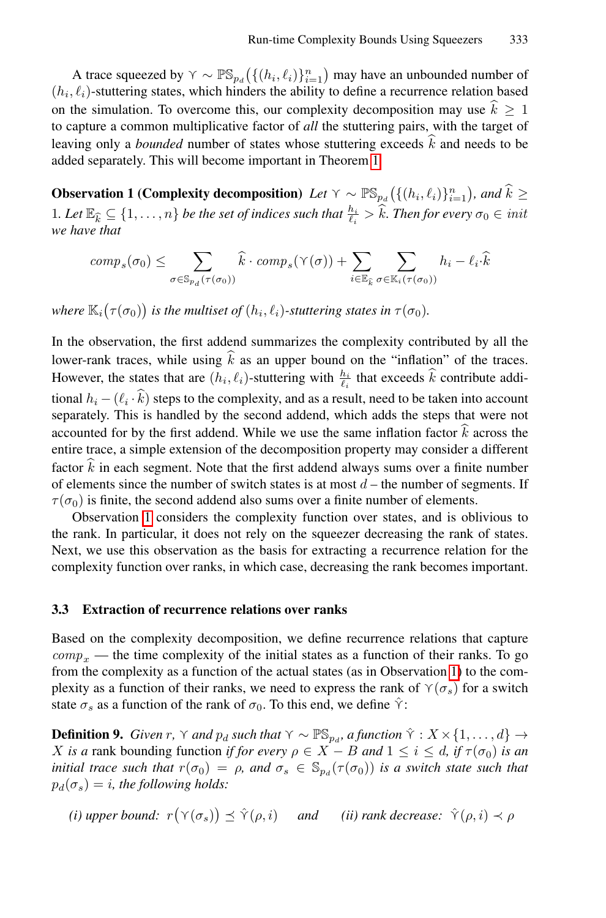A trace squeezed by  $\gamma \sim \mathbb{PS}_{p_d}\big(\{(h_i,\ell_i)\}_{i=1}^n\big)$  may have an unbounded number of  $(h_i, \ell_i)$ -stuttering states, which hinders the ability to define a recurrence relation based on the simulation. To overcome this, our complexity decomposition may use  $\hat{k} \ge 1$ to capture a common multiplicative factor of *all* the stuttering pairs, with the target of leaving only a *bounded* number of states whose stuttering exceeds <sup>k</sup> and needs to be added separately. This will become important in Theorem [1.](#page-14-0)

<span id="page-13-0"></span>**Observation 1 (Complexity decomposition)** Let  $\gamma \sim \mathbb{PS}_{p_d}(\{(h_i, \ell_i)\}_{i=1}^n)$ , and  $\widehat{k} \geq$ 1. Let  $\mathbb{E}_{\widehat{k}} \subseteq \{1,\ldots,n\}$  be the set of indices such that  $\frac{h_i}{\ell_i} > \widehat{k}$ . Then for every  $\sigma_0 \in \text{init}$ *we have that*

$$
comp_s(\sigma_0) \leq \sum_{\sigma \in \mathbb{S}_{p_d}(\tau(\sigma_0))} \hat{k} \cdot comp_s(\Upsilon(\sigma)) + \sum_{i \in \mathbb{E}_{\hat{k}}} \sum_{\sigma \in \mathbb{K}_i(\tau(\sigma_0))} h_i - \ell_i \cdot \hat{k}
$$

where  $\mathbb{K}_i(\tau(\sigma_0))$  is the multiset of  $(h_i,\ell_i)$ -stuttering states in  $\tau(\sigma_0)$ .

In the observation, the first addend summarizes the complexity contributed by all the lower-rank traces, while using  $\hat{k}$  as an upper bound on the "inflation" of the traces. However, the states that are  $(h_i, \ell_i)$ -stuttering with  $\frac{h_i}{\ell_i}$  that exceeds  $\hat{k}$  contribute additional  $h_i - (\ell_i \cdot \hat{k})$  steps to the complexity, and as a result, need to be taken into account separately. This is handled by the second addend, which adds the steps that were not accounted for by the first addend. While we use the same inflation factor  $\hat{k}$  across the entire trace, a simple extension of the decomposition property may consider a different factor  $k$  in each segment. Note that the first addend always sums over a finite number of elements since the number of switch states is at most  $d$  – the number of segments. If  $\tau(\sigma_0)$  is finite, the second addend also sums over a finite number of elements.

Observation [1](#page-13-0) considers the complexity function over states, and is oblivious to the rank. In particular, it does not rely on the squeezer decreasing the rank of states. Next, we use this observation as the basis for extracting a recurrence relation for the complexity function over ranks, in which case, decreasing the rank becomes important.

#### 3.3 Extraction of recurrence relations over ranks

Based on the complexity decomposition, we define recurrence relations that capture  $comp<sub>x</sub>$  — the time complexity of the initial states as a function of their ranks. To go from the complexity as a function of the actual states (as in Observation [1\)](#page-13-0) to the complexity as a function of their ranks, we need to express the rank of  $\gamma(\sigma_s)$  for a switch state  $\sigma_s$  as a function of the rank of  $\sigma_0$ . To this end, we define  $\hat{\gamma}$ :

<span id="page-13-1"></span>**Definition 9.** *Given r,*  $\gamma$  *and*  $p_d$  *such that*  $\gamma \sim \mathbb{PS}_{p_d}$ *, a function*  $\hat{\gamma}: X \times \{1, \ldots, d\} \to$ X *is a* rank bounding function *if for every*  $\rho \in X - B$  *and*  $1 \le i \le d$ , *if*  $\tau(\sigma_0)$  *is an initial trace such that*  $r(\sigma_0) = \rho$ , and  $\sigma_s \in \mathbb{S}_{p_d}(\tau(\sigma_0))$  *is a switch state such that*  $p_d(\sigma_s) = i$ , the following holds:

(*i*) upper bound:  $r(\Upsilon(\sigma_s)) \preceq \Upsilon(\rho, i)$  and (*ii*) rank decrease:  $\Upsilon(\rho, i) \prec \rho$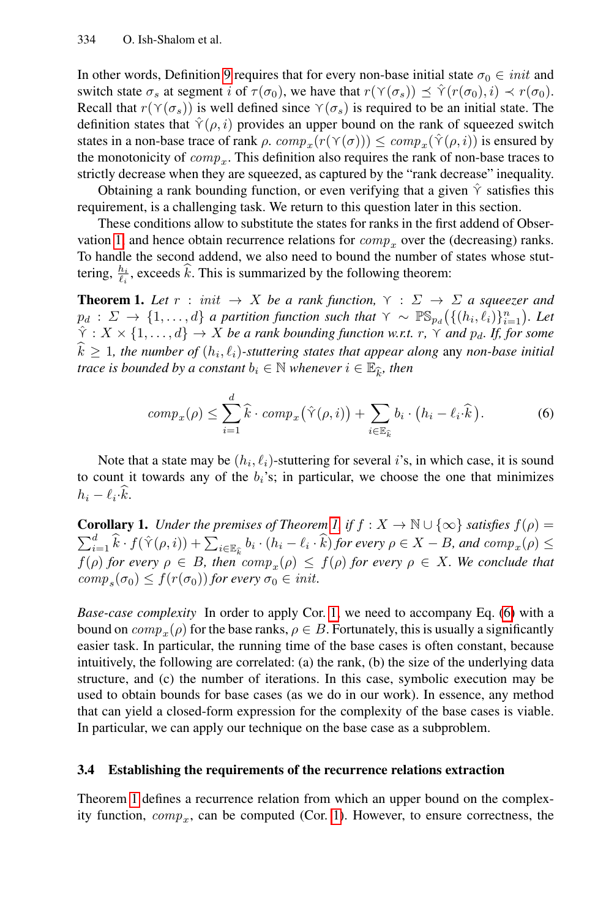In other words, Definition [9](#page-13-1) requires that for every non-base initial state  $\sigma_0 \in init$  and switch state  $\sigma_s$  at segment i of  $\tau(\sigma_0)$ , we have that  $r(\Upsilon(\sigma_s)) \preceq \hat{\Upsilon}(r(\sigma_0), i) \prec r(\sigma_0)$ . Recall that  $r(\Upsilon(\sigma_s))$  is well defined since  $\Upsilon(\sigma_s)$  is required to be an initial state. The definition states that  $\hat{\gamma}(\rho, i)$  provides an upper bound on the rank of squeezed switch states in a non-base trace of rank  $\rho$ .  $comp<sub>x</sub>(r(\Upsilon(\sigma))) \leq comp<sub>x</sub>(\hat{\Upsilon}(\rho, i))$  is ensured by the monotonicity of  $comp<sub>x</sub>$ . This definition also requires the rank of non-base traces to strictly decrease when they are squeezed, as captured by the "rank decrease" inequality.

Obtaining a rank bounding function, or even verifying that a given  $\hat{\gamma}$  satisfies this requirement, is a challenging task. We return to this question later in this section.

These conditions allow to substitute the states for ranks in the first addend of Obser-vation [1,](#page-13-0) and hence obtain recurrence relations for  $comp_x$  over the (decreasing) ranks. To handle the second addend, we also need to bound the number of states whose stuttering,  $\frac{h_i}{\ell_i}$ , exceeds  $\hat{k}$ . This is summarized by the following theorem:

**Theorem 1.** Let  $r : init \rightarrow X$  be a rank function,  $\gamma : \Sigma \rightarrow \Sigma$  a squeezer and  $p_d$  :  $\Sigma \rightarrow \{1, ..., d\}$  a partition function such that  $\gamma \sim \mathbb{PS}_{p_d}(\{(h_i, \ell_i)\}_{i=1}^n)$ . Let  $\hat{\gamma}: X \times \{1, \ldots, d\} \rightarrow X$  *be a rank bounding function w.r.t.* r,  $\gamma$  *and*  $p_d$ *. If, for some*  $\widehat{k}$  > 1, the number of  $(h_i, \ell_i)$ -stuttering states that appear along any non-base initial *trace is bounded by a constant*  $b_i \in \mathbb{N}$  *whenever*  $i \in \mathbb{E}_{\widehat{k}}$ *, then* 

<span id="page-14-2"></span><span id="page-14-0"></span>
$$
comp_x(\rho) \leq \sum_{i=1}^d \widehat{k} \cdot comp_x(\hat{\gamma}(\rho, i)) + \sum_{i \in \mathbb{E}_{\widehat{k}}} b_i \cdot (h_i - \ell_i \cdot \widehat{k}). \tag{6}
$$

Note that a state may be  $(h_i, \ell_i)$ -stuttering for several i's, in which case, it is sound to count it towards any of the  $b_i$ 's; in particular, we choose the one that minimizes  $h_i - \ell_i \cdot k$ .

<span id="page-14-1"></span>**Corollary 1.** *Under the premises of Theorem [1,](#page-14-0) if*  $f : X \to \mathbb{N} \cup \{\infty\}$  *satisfies*  $f(\rho) =$  $\sum_{i=1}^d \hat{k} \cdot f(\hat{\gamma}(\rho, i)) + \sum_{i \in \mathbb{E}_{\hat{k}}} b_i \cdot (h_i - \ell_i \cdot \hat{k})$  *for every*  $\rho \in X - B$ *, and*  $comp_x(\rho) \le$  $f(\rho)$  *for every*  $\rho \in B$ *, then*  $comp_x(\rho) \leq f(\rho)$  *for every*  $\rho \in X$ *. We conclude that*  $comp_s(\sigma_0) \leq f(r(\sigma_0))$  *for every*  $\sigma_0 \in init$ .

*Base-case complexity* In order to apply Cor. [1,](#page-14-1) we need to accompany Eq. [\(6\)](#page-14-2) with a bound on  $comp<sub>x</sub>(\rho)$  for the base ranks,  $\rho \in B$ . Fortunately, this is usually a significantly easier task. In particular, the running time of the base cases is often constant, because intuitively, the following are correlated: (a) the rank, (b) the size of the underlying data structure, and (c) the number of iterations. In this case, symbolic execution may be used to obtain bounds for base cases (as we do in our work). In essence, any method that can yield a closed-form expression for the complexity of the base cases is viable. In particular, we can apply our technique on the base case as a subproblem.

#### <span id="page-14-3"></span>3.4 Establishing the requirements of the recurrence relations extraction

Theorem [1](#page-14-0) defines a recurrence relation from which an upper bound on the complexity function,  $comp_x$ , can be computed (Cor. [1\)](#page-14-1). However, to ensure correctness, the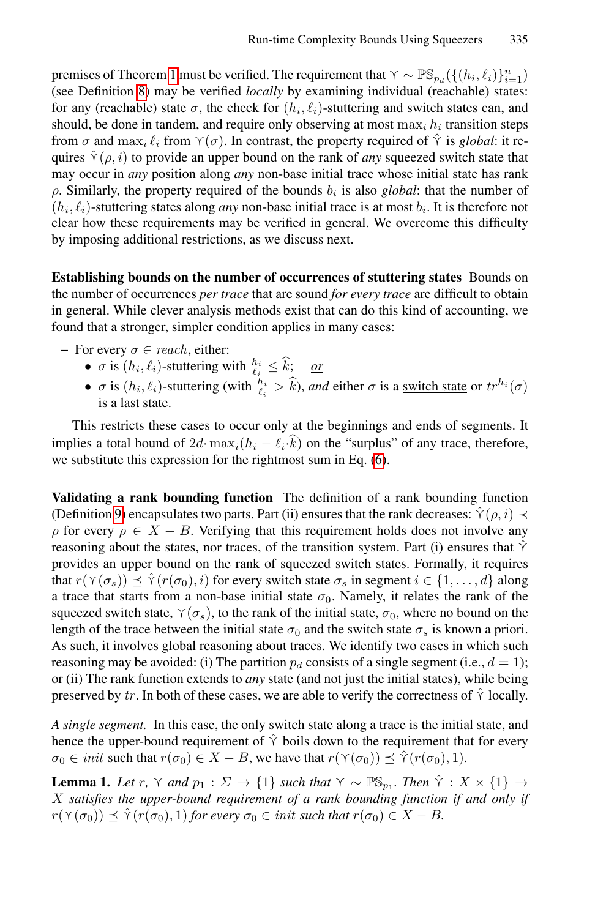premises of Theorem [1](#page-14-0) must be verified. The requirement that  $\gamma \sim \mathbb{PS}_{p_d}(\{(h_i, \ell_i)\}_{i=1}^n)$ (see Definition [8\)](#page-12-2) may be verified *locally* by examining individual (reachable) states: for any (reachable) state  $\sigma$ , the check for  $(h_i, \ell_i)$ -stuttering and switch states can, and should, be done in tandem, and require only observing at most  $\max_i h_i$  transition steps from  $\sigma$  and  $\max_i \ell_i$  from  $\gamma(\sigma)$ . In contrast, the property required of  $\hat{\gamma}$  is *global*: it requires  $\hat{\gamma}(\rho, i)$  to provide an upper bound on the rank of *any* squeezed switch state that may occur in *any* position along *any* non-base initial trace whose initial state has rank  $\rho$ . Similarly, the property required of the bounds  $b_i$  is also *global*: that the number of  $(h_i, \ell_i)$ -stuttering states along *any* non-base initial trace is at most  $b_i$ . It is therefore not clear how these requirements may be verified in general. We overcome this difficulty by imposing additional restrictions, as we discuss next.

Establishing bounds on the number of occurrences of stuttering states Bounds on the number of occurrences *per trace* that are sound *for every trace* are difficult to obtain in general. While clever analysis methods exist that can do this kind of accounting, we found that a stronger, simpler condition applies in many cases:

- For every  $\sigma \in reach$ , either:
	- $\sigma$  is  $(h_i, \ell_i)$ -stuttering with  $\frac{h_i}{\ell_i} \leq \hat{k}$ ; or
	- $\sigma$  is  $(h_i, \ell_i)$ -stuttering (with  $\frac{h_i}{\ell_i} > \hat{k}$ ), *and* either  $\sigma$  is a <u>switch state</u> or  $tr^{h_i}(\sigma)$ is a last state.

This restricts these cases to occur only at the beginnings and ends of segments. It implies a total bound of  $2d \cdot \max_i(h_i - \ell_i \cdot \hat{k})$  on the "surplus" of any trace, therefore, we substitute this expression for the rightmost sum in Eq. [\(6\)](#page-14-2).

Validating a rank bounding function The definition of a rank bounding function (Definition [9\)](#page-13-1) encapsulates two parts. Part (ii) ensures that the rank decreases:  $\hat{\gamma}(\rho, i) \prec$  $ρ$  for every  $ρ ∈ X - B$ . Verifying that this requirement holds does not involve any reasoning about the states, nor traces, of the transition system. Part (i) ensures that  $\hat{Y}$ provides an upper bound on the rank of squeezed switch states. Formally, it requires that  $r(\Upsilon(\sigma_s)) \preceq \hat{\Upsilon}(r(\sigma_0), i)$  for every switch state  $\sigma_s$  in segment  $i \in \{1, \ldots, d\}$  along a trace that starts from a non-base initial state  $\sigma_0$ . Namely, it relates the rank of the squeezed switch state,  $\gamma(\sigma_s)$ , to the rank of the initial state,  $\sigma_0$ , where no bound on the length of the trace between the initial state  $\sigma_0$  and the switch state  $\sigma_s$  is known a priori. As such, it involves global reasoning about traces. We identify two cases in which such reasoning may be avoided: (i) The partition  $p_d$  consists of a single segment (i.e.,  $d = 1$ ); or (ii) The rank function extends to *any* state (and not just the initial states), while being preserved by tr. In both of these cases, we are able to verify the correctness of  $\hat{Y}$  locally.

*A single segment.* In this case, the only switch state along a trace is the initial state, and hence the upper-bound requirement of  $\hat{Y}$  boils down to the requirement that for every  $\sigma_0 \in \text{init}$  such that  $r(\sigma_0) \in X - B$ , we have that  $r(\Upsilon(\sigma_0)) \preceq \hat{\Upsilon}(r(\sigma_0), 1)$ .

**Lemma 1.** Let  $r, \gamma$  and  $p_1 : \Sigma \to \{1\}$  such that  $\gamma \sim \mathbb{PS}_{p_1}$ . Then  $\hat{\gamma} : X \times \{1\} \to$ X *satisfies the upper-bound requirement of a rank bounding function if and only if*  $r(\Upsilon(\sigma_0)) \preceq \Upsilon(r(\sigma_0), 1)$  *for every*  $\sigma_0 \in \text{init}$  *such that*  $r(\sigma_0) \in X - B$ *.*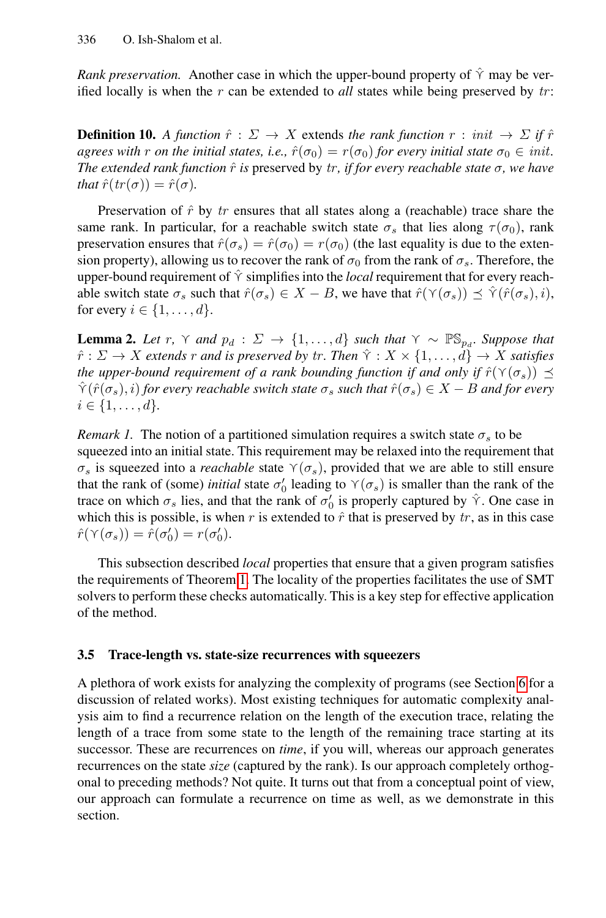*Rank preservation.* Another case in which the upper-bound property of  $\hat{\gamma}$  may be verified locally is when the  $r$  can be extended to  $all$  states while being preserved by  $tr$ :

**Definition 10.** *A function*  $\hat{r}: \Sigma \to X$  extends the rank function  $r: \text{init} \to \Sigma$  if  $\hat{r}$ *agrees with* r *on the initial states, i.e.,*  $\hat{r}(\sigma_0) = r(\sigma_0)$  *for every initial state*  $\sigma_0 \in \text{init}$ *. The extended rank function*  $\hat{r}$  *is* preserved by tr, *if for every reachable state*  $\sigma$ *, we have that*  $\hat{r}(tr(\sigma)) = \hat{r}(\sigma)$ *.* 

Preservation of  $\hat{r}$  by tr ensures that all states along a (reachable) trace share the same rank. In particular, for a reachable switch state  $\sigma_s$  that lies along  $\tau(\sigma_0)$ , rank preservation ensures that  $\hat{r}(\sigma_s)=\hat{r}(\sigma_0)=r(\sigma_0)$  (the last equality is due to the extension property), allowing us to recover the rank of  $\sigma_0$  from the rank of  $\sigma_s$ . Therefore, the upper-bound requirement of  $\hat{Y}$  simplifies into the *local* requirement that for every reachable switch state  $\sigma_s$  such that  $\hat{r}(\sigma_s) \in X - B$ , we have that  $\hat{r}(\gamma(\sigma_s)) \preceq \hat{\gamma}(\hat{r}(\sigma_s), i)$ , for every  $i \in \{1, \ldots, d\}$ .

**Lemma 2.** Let  $r, \gamma$  and  $p_d : \Sigma \to \{1, \ldots, d\}$  such that  $\gamma \sim \mathbb{PS}_{p_d}$ . Suppose that  $\hat{r}: \Sigma \to X$  extends r and is preserved by tr. Then  $\hat{\gamma}: X \times \{1, \ldots, d\} \to X$  satisfies *the upper-bound requirement of a rank bounding function if and only if*  $\hat{r}(\gamma(\sigma_s)) \preceq$  $\hat{\Upsilon}(\hat{r}(\sigma_s), i)$  *for every reachable switch state*  $\sigma_s$  *such that*  $\hat{r}(\sigma_s) \in X - B$  *and for every*  $i \in \{1, \ldots, d\}.$ 

*Remark 1.* The notion of a partitioned simulation requires a switch state  $\sigma_s$  to be squeezed into an initial state. This requirement may be relaxed into the requirement that  $\sigma_s$  is squeezed into a *reachable* state  $\gamma(\sigma_s)$ , provided that we are able to still ensure that the rank of (some) *initial* state  $\sigma'_0$  leading to  $\gamma(\sigma_s)$  is smaller than the rank of the trace on which  $\sigma_s$  lies, and that the rank of  $\sigma'_0$  is properly captured by  $\hat{\gamma}$ . One case in which this is possible, is when r is extended to  $\hat{r}$  that is preserved by tr, as in this case  $\hat{r}(\Upsilon(\sigma_s)) = \hat{r}(\sigma'_0) = r(\sigma'_0).$ 

This subsection described *local* properties that ensure that a given program satisfies the requirements of Theorem [1.](#page-14-0) The locality of the properties facilitates the use of SMT solvers to perform these checks automatically. This is a key step for effective application of the method.

### 3.5 Trace-length vs. state-size recurrences with squeezers

A plethora of work exists for analyzing the complexity of programs (see Section [6](#page-23-0) for a discussion of related works). Most existing techniques for automatic complexity analysis aim to find a recurrence relation on the length of the execution trace, relating the length of a trace from some state to the length of the remaining trace starting at its successor. These are recurrences on *time*, if you will, whereas our approach generates recurrences on the state *size* (captured by the rank). Is our approach completely orthogonal to preceding methods? Not quite. It turns out that from a conceptual point of view, our approach can formulate a recurrence on time as well, as we demonstrate in this section.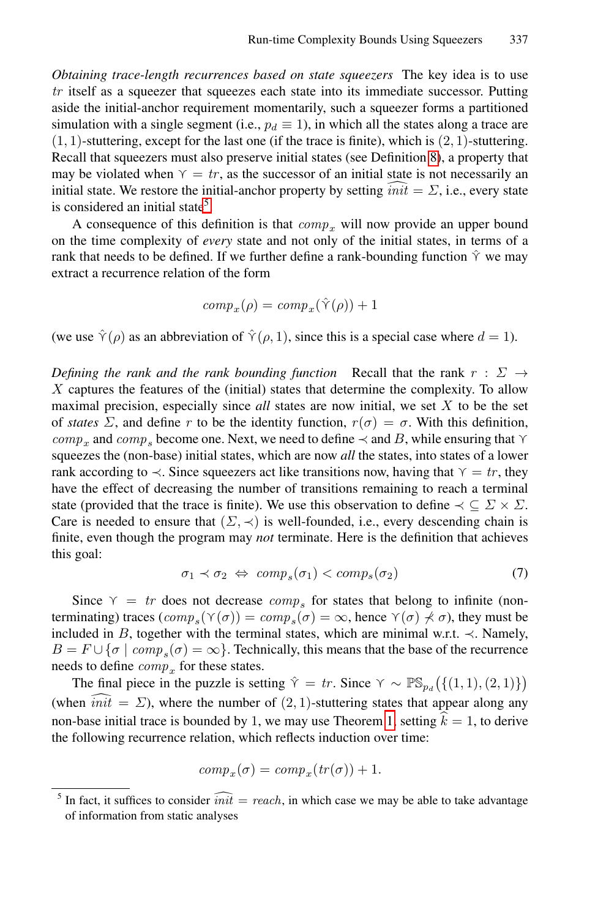*Obtaining trace-length recurrences based on state squeezers* The key idea is to use  $tr$  itself as a squeezer that squeezes each state into its immediate successor. Putting aside the initial-anchor requirement momentarily, such a squeezer forms a partitioned simulation with a single segment (i.e.,  $p_d \equiv 1$ ), in which all the states along a trace are  $(1, 1)$ -stuttering, except for the last one (if the trace is finite), which is  $(2, 1)$ -stuttering. Recall that squeezers must also preserve initial states (see Definition [8\)](#page-12-2), a property that may be violated when  $Y = tr$ , as the successor of an initial state is not necessarily an initial state. We restore the initial-anchor property by setting  $init = \Sigma$ , i.e., every state is considered an initial state<sup>5</sup>.

A consequence of this definition is that  $comp<sub>x</sub>$  will now provide an upper bound on the time complexity of *every* state and not only of the initial states, in terms of a rank that needs to be defined. If we further define a rank-bounding function  $\hat{\gamma}$  we may extract a recurrence relation of the form

$$
comp_x(\rho) = comp_x(\hat{\Upsilon}(\rho)) + 1
$$

(we use  $\hat{\gamma}(\rho)$  as an abbreviation of  $\hat{\gamma}(\rho, 1)$ , since this is a special case where  $d = 1$ ).

*Defining the rank and the rank bounding function* Recall that the rank  $r : \Sigma \rightarrow$  $X$  captures the features of the (initial) states that determine the complexity. To allow maximal precision, especially since *all* states are now initial, we set X to be the set of *states*  $\Sigma$ , and define r to be the identity function,  $r(\sigma) = \sigma$ . With this definition,  $comp_x$  and  $comp_s$  become one. Next, we need to define  $\prec$  and B, while ensuring that  $\curlyvee$ squeezes the (non-base) initial states, which are now *all* the states, into states of a lower rank according to  $\prec$ . Since squeezers act like transitions now, having that  $\gamma = tr$ , they have the effect of decreasing the number of transitions remaining to reach a terminal state (provided that the trace is finite). We use this observation to define  $\prec \subset \Sigma \times \Sigma$ . Care is needed to ensure that  $(\Sigma, \prec)$  is well-founded, i.e., every descending chain is finite, even though the program may *not* terminate. Here is the definition that achieves this goal:

$$
\sigma_1 \prec \sigma_2 \Leftrightarrow \text{ comp}_s(\sigma_1) < \text{comp}_s(\sigma_2) \tag{7}
$$

Since  $Y = tr$  does not decrease  $comp<sub>s</sub>$  for states that belong to infinite (nonterminating) traces  $\left( comp_s(\Upsilon(\sigma)) = comp_s(\sigma) = \infty$ , hence  $\Upsilon(\sigma) \nless \sigma$ , they must be included in B, together with the terminal states, which are minimal w.r.t.  $\prec$ . Namely,  $B = F \cup \{\sigma \mid comp_s(\sigma) = \infty\}$ . Technically, this means that the base of the recurrence needs to define  $comp<sub>x</sub>$  for these states.

The final piece in the puzzle is setting  $\hat{\gamma} = tr$ . Since  $\gamma \sim \mathbb{PS}_{p_d}(\{(1,1),(2,1)\})$ (when  $init = \Sigma$ ), where the number of  $(2, 1)$ -stuttering states that appear along any non-base initial trace is bounded by [1,](#page-14-0) we may use Theorem 1, setting  $k = 1$ , to derive the following recurrence relation, which reflects induction over time:

$$
comp_x(\sigma) = comp_x(tr(\sigma)) + 1.
$$

<span id="page-17-0"></span><sup>&</sup>lt;sup>5</sup> In fact, it suffices to consider  $\widehat{init} = reach$ , in which case we may be able to take advantage of information from static analyses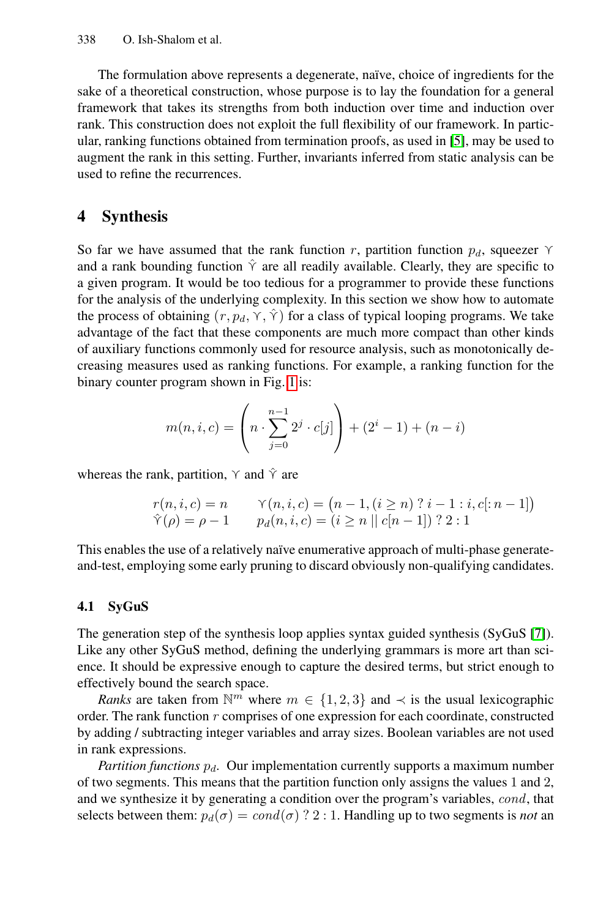The formulation above represents a degenerate, naïve, choice of ingredients for the sake of a theoretical construction, whose purpose is to lay the foundation for a general framework that takes its strengths from both induction over time and induction over rank. This construction does not exploit the full flexibility of our framework. In particular, ranking functions obtained from termination proofs, as used in [\[5\]](#page-25-5), may be used to augment the rank in this setting. Further, invariants inferred from static analysis can be used to refine the recurrences.

## <span id="page-18-0"></span>4 Synthesis

So far we have assumed that the rank function r, partition function  $p_d$ , squeezer  $\gamma$ and a rank bounding function  $\hat{Y}$  are all readily available. Clearly, they are specific to a given program. It would be too tedious for a programmer to provide these functions for the analysis of the underlying complexity. In this section we show how to automate the process of obtaining  $(r, p_d, \gamma, \hat{\gamma})$  for a class of typical looping programs. We take advantage of the fact that these components are much more compact than other kinds of auxiliary functions commonly used for resource analysis, such as monotonically decreasing measures used as ranking functions. For example, a ranking function for the binary counter program shown in Fig. [1](#page-1-0) is:

$$
m(n, i, c) = \left(n \cdot \sum_{j=0}^{n-1} 2^{j} \cdot c[j]\right) + (2^{i} - 1) + (n - i)
$$

whereas the rank, partition,  $\gamma$  and  $\hat{\gamma}$  are

$$
r(n, i, c) = n \qquad \gamma(n, i, c) = (n - 1, (i \ge n) ? i - 1 : i, c[:n - 1])
$$
  

$$
\hat{\gamma}(\rho) = \rho - 1 \qquad p_d(n, i, c) = (i \ge n || c[n - 1]) ? 2 : 1
$$

This enables the use of a relatively naïve enumerative approach of multi-phase generateand-test, employing some early pruning to discard obviously non-qualifying candidates.

### 4.1 SyGuS

The generation step of the synthesis loop applies syntax guided synthesis (SyGuS [\[7\]](#page-25-6)). Like any other SyGuS method, defining the underlying grammars is more art than science. It should be expressive enough to capture the desired terms, but strict enough to effectively bound the search space.

*Ranks* are taken from  $\mathbb{N}^m$  where  $m \in \{1,2,3\}$  and  $\prec$  is the usual lexicographic order. The rank function  $r$  comprises of one expression for each coordinate, constructed by adding / subtracting integer variables and array sizes. Boolean variables are not used in rank expressions.

*Partition functions*  $p_d$ . Our implementation currently supports a maximum number of two segments. This means that the partition function only assigns the values 1 and 2, and we synthesize it by generating a condition over the program's variables, cond, that selects between them:  $p_d(\sigma) = cond(\sigma)$ ? 2 : 1. Handling up to two segments is *not* an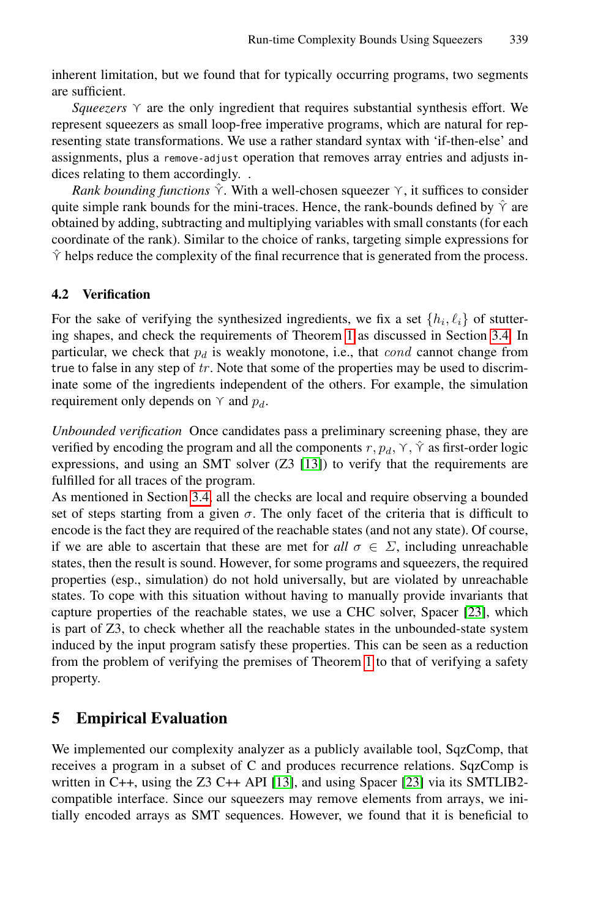inherent limitation, but we found that for typically occurring programs, two segments are sufficient.

*Squeezers*  $\gamma$  are the only ingredient that requires substantial synthesis effort. We represent squeezers as small loop-free imperative programs, which are natural for representing state transformations. We use a rather standard syntax with 'if-then-else' and assignments, plus a remove-adjust operation that removes array entries and adjusts indices relating to them accordingly. .

*Rank bounding functions*  $\hat{Y}$ . With a well-chosen squeezer  $Y$ , it suffices to consider quite simple rank bounds for the mini-traces. Hence, the rank-bounds defined by  $\hat{\gamma}$  are obtained by adding, subtracting and multiplying variables with small constants (for each coordinate of the rank). Similar to the choice of ranks, targeting simple expressions for  $\hat{Y}$  helps reduce the complexity of the final recurrence that is generated from the process.

#### 4.2 Verification

For the sake of verifying the synthesized ingredients, we fix a set  $\{h_i, \ell_i\}$  of stuttering shapes, and check the requirements of Theorem [1](#page-14-0) as discussed in Section [3.4.](#page-14-3) In particular, we check that  $p_d$  is weakly monotone, i.e., that *cond* cannot change from true to false in any step of  $tr$ . Note that some of the properties may be used to discriminate some of the ingredients independent of the others. For example, the simulation requirement only depends on  $\gamma$  and  $p_d$ .

*Unbounded verification* Once candidates pass a preliminary screening phase, they are verified by encoding the program and all the components  $r, p_d, \gamma, \hat{\gamma}$  as first-order logic expressions, and using an SMT solver (Z3 [\[13\]](#page-25-7)) to verify that the requirements are fulfilled for all traces of the program.

As mentioned in Section [3.4,](#page-14-3) all the checks are local and require observing a bounded set of steps starting from a given  $\sigma$ . The only facet of the criteria that is difficult to encode is the fact they are required of the reachable states (and not any state). Of course, if we are able to ascertain that these are met for *all*  $\sigma \in \Sigma$ , including unreachable states, then the result is sound. However, for some programs and squeezers, the required properties (esp., simulation) do not hold universally, but are violated by unreachable states. To cope with this situation without having to manually provide invariants that capture properties of the reachable states, we use a CHC solver, Spacer [\[23\]](#page-26-7), which is part of Z3, to check whether all the reachable states in the unbounded-state system induced by the input program satisfy these properties. This can be seen as a reduction from the problem of verifying the premises of Theorem [1](#page-14-0) to that of verifying a safety property.

### 5 Empirical Evaluation

We implemented our complexity analyzer as a publicly available tool, SqzComp, that receives a program in a subset of C and produces recurrence relations. SqzComp is written in C++, using the Z3 C++ API [\[13\]](#page-25-7), and using Spacer [\[23\]](#page-26-7) via its SMTLIB2compatible interface. Since our squeezers may remove elements from arrays, we initially encoded arrays as SMT sequences. However, we found that it is beneficial to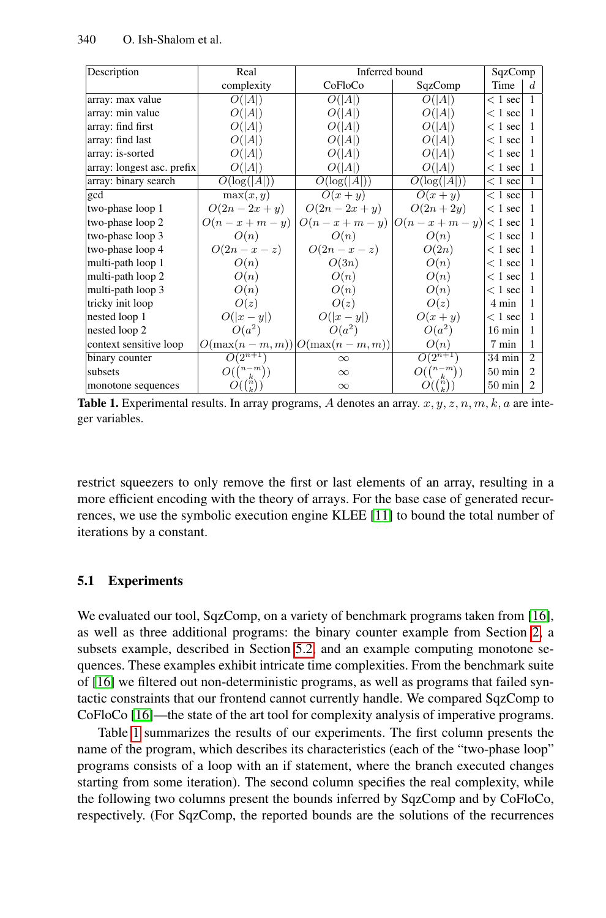| Description                | Real                 | Inferred bound                   |                           | SqzComp          |                |
|----------------------------|----------------------|----------------------------------|---------------------------|------------------|----------------|
|                            | complexity           | CoFloCo                          | SqzComp                   | Time             | d              |
| array: max value           | O( A )               | O( A )                           | O( A )                    | $< 1$ sec        | 1              |
| array: min value           | O( A )               | O( A )                           | O( A )                    | $< 1$ sec        | 1              |
| array: find first          | O( A )               | O( A )                           | O( A )                    | $< 1$ sec        | 1              |
| array: find last           | O( A )               | O( A )                           | O( A )                    | $< 1$ sec        | 1              |
| array: is-sorted           | O( A )               | O( A )                           | O( A )                    | $< 1$ sec        | -1             |
| array: longest asc. prefix | O( A )               | O( A )                           | O( A )                    | $<$ 1 sec        | 1              |
| array: binary search       | $O(\log( A ))$       | $O(\log( A ))$                   | $O(\log( A ))$            | $< 1$ sec        | $\mathbf{1}$   |
| gcd                        | max(x, y)            | $O(x+y)$                         | $O(x+y)$                  | $< 1$ sec        | $\mathbf{1}$   |
| two-phase loop 1           | $O(2n - 2x + y)$     | $O(2n - 2x + y)$                 | $O(2n + 2y)$              | $< 1$ sec        | -1             |
| two-phase loop 2           | $O(n-x+m-y)$         | $O(n-x+m-y)$ $ O(n-x+m-y) $      |                           | $< 1$ sec        |                |
| two-phase loop 3           | O(n)                 | O(n)                             | O(n)                      | $< 1$ sec        |                |
| two-phase loop 4           | $O(2n-x-z)$          | $O(2n-x-z)$                      | O(2n)                     | $< 1$ sec        | -1             |
| multi-path loop 1          | O(n)                 | O(3n)                            | O(n)                      | $< 1$ sec        | -1             |
| multi-path loop 2          | O(n)                 | O(n)                             | O(n)                      | $< 1$ sec        | -1             |
| multi-path loop 3          | O(n)                 | O(n)                             | O(n)                      | $< 1$ sec        | -1             |
| tricky init loop           | O(z)                 | O(z)                             | O(z)                      | 4 min            | 1              |
| nested loop 1              | $O( x-y )$           | $O( x-y )$                       | $O(x+y)$                  | $< 1$ sec        |                |
| nested loop 2              | $O(a^2)$             | $O(a^2)$                         | $O(a^2)$                  | $16 \text{ min}$ | 1              |
| context sensitive loop     |                      | $O(\max(n-m,m)) O(\max(n-m,m)) $ | O(n)                      | 7 min            | 1              |
| binary counter             | $O(2^{n+1})$         | $\infty$                         | $O(2^{n+1})$              | 34 min           | $\overline{c}$ |
| subsets                    | $O({n-m \choose k})$ | $\infty$                         | $O({\binom{n-m}{\iota}})$ | $50 \text{ min}$ | $\overline{c}$ |
| monotone sequences         |                      | $\infty$                         | $O(\binom{n}{k})$         | $50 \text{ min}$ | 2              |

<span id="page-20-0"></span>**Table 1.** Experimental results. In array programs, A denotes an array.  $x, y, z, n, m, k, a$  are integer variables.

restrict squeezers to only remove the first or last elements of an array, resulting in a more efficient encoding with the theory of arrays. For the base case of generated recurrences, we use the symbolic execution engine KLEE [\[11\]](#page-25-8) to bound the total number of iterations by a constant.

### 5.1 Experiments

We evaluated our tool, SqzComp, on a variety of benchmark programs taken from [\[16\]](#page-26-3), as well as three additional programs: the binary counter example from Section [2,](#page-3-0) a subsets example, described in Section [5.2,](#page-21-0) and an example computing monotone sequences. These examples exhibit intricate time complexities. From the benchmark suite of [\[16\]](#page-26-3) we filtered out non-deterministic programs, as well as programs that failed syntactic constraints that our frontend cannot currently handle. We compared SqzComp to CoFloCo [\[16\]](#page-26-3)—the state of the art tool for complexity analysis of imperative programs.

Table [1](#page-20-0) summarizes the results of our experiments. The first column presents the name of the program, which describes its characteristics (each of the "two-phase loop" programs consists of a loop with an if statement, where the branch executed changes starting from some iteration). The second column specifies the real complexity, while the following two columns present the bounds inferred by SqzComp and by CoFloCo, respectively. (For SqzComp, the reported bounds are the solutions of the recurrences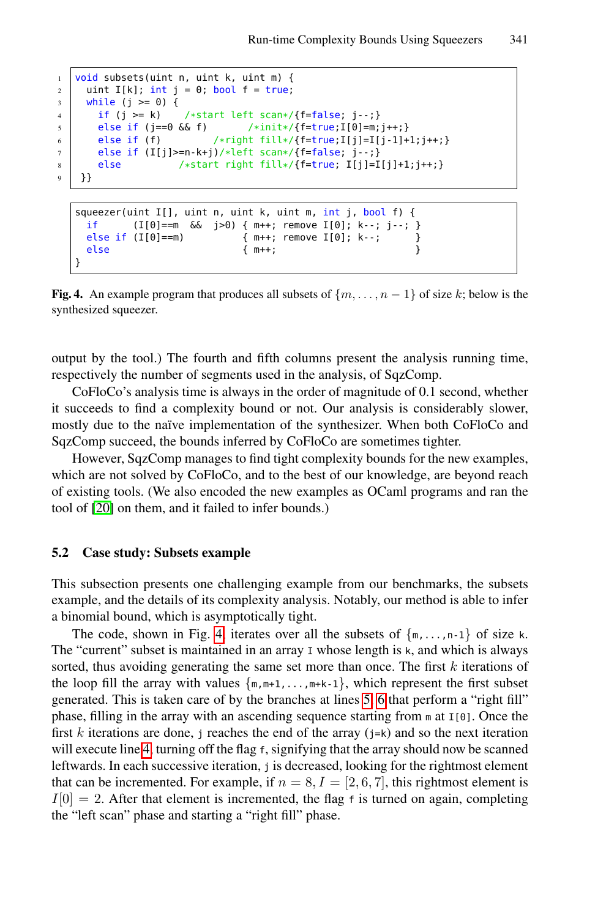```
1 void subsets(uint n, uint k, uint m) {
2 uint I[k]; int i = 0; bool f = true;
3 \times 10^{3} while (j >= 0) {
4 if (j >= k) /*start left scan*/{f=false; j--;}<br>s else if (j==0 && f) /*init*/{f=true;I[0]=m;
5 else if (j==0 && f) /*init*/{f=true;I[0]=m;j++;}
6 else if (f) \overline{\qquad} /*right fill*/{f=true;I[j]=I[j-1]+1;j++;}<br>belse if (I[i]>=n-k+i)/*left scan*/{f=false: i--:}
\begin{array}{c} \hline \gamma \\ \hline \gamma \\ \hline \gamma \\ \hline \gamma \\ \hline \gamma \\ \hline \gamma \\ \hline \gamma \\ \hline \gamma \\ \hline \gamma \\ \hline \gamma \\ \hline \gamma \\ \hline \gamma \\ \hline \gamma \\ \hline \gamma \\ \hline \gamma \\ \hline \gamma \\ \hline \gamma \\ \hline \gamma \\ \hline \gamma \\ \hline \gamma \\ \hline \gamma \\ \hline \gamma \\ \hline \gamma \\ \hline \gamma \\ \hline \gamma \\ \hline \gamma \\ \hline \gamma \\ \hline \gamma \\ \hline \gamma \\ \hline \gamma \\ \hline \gamma \\ \hline \gamma \\ \hline \gamma \\ \hline \gamma \\ \hline \gamma \\ \hline\begin{array}{c}\n\text{s} \\
\text{else}\n\end{array} /*start right fill*/{f=true; I[j]=I[j]+1;j++;}
           9 }}
```

```
squeezer(uint I[], uint n, uint k, uint m, int j, bool f) {
 if (I[0]=m \& i>0) { m++; remove I[0]; k--; j--; }
 else if (I[0]==m) { m++; remove I[0]; k--; }
 else \{ m++; \}}
```
<span id="page-21-1"></span>Fig. 4. An example program that produces all subsets of  $\{m, \ldots, n-1\}$  of size k; below is the synthesized squeezer.

output by the tool.) The fourth and fifth columns present the analysis running time, respectively the number of segments used in the analysis, of SqzComp.

CoFloCo's analysis time is always in the order of magnitude of 0.1 second, whether it succeeds to find a complexity bound or not. Our analysis is considerably slower, mostly due to the naïve implementation of the synthesizer. When both CoFloCo and SqzComp succeed, the bounds inferred by CoFloCo are sometimes tighter.

However, SqzComp manages to find tight complexity bounds for the new examples, which are not solved by CoFloCo, and to the best of our knowledge, are beyond reach of existing tools. (We also encoded the new examples as OCaml programs and ran the tool of [\[20\]](#page-26-6) on them, and it failed to infer bounds.)

#### <span id="page-21-0"></span>5.2 Case study: Subsets example

This subsection presents one challenging example from our benchmarks, the subsets example, and the details of its complexity analysis. Notably, our method is able to infer a binomial bound, which is asymptotically tight.

The code, shown in Fig. [4,](#page-21-1) iterates over all the subsets of  $\{m,\ldots,n-1\}$  of size k. The "current" subset is maintained in an array <sup>I</sup> whose length is <sup>k</sup>, and which is always sorted, thus avoiding generating the same set more than once. The first  $k$  iterations of the loop fill the array with values  $\{m,m+1,\ldots,m+k-1\}$ , which represent the first subset generated. This is taken care of by the branches at lines [5,](#page-21-2) [6](#page-21-3) that perform a "right fill" phase, filling in the array with an ascending sequence starting from <sup>m</sup> at I[0]. Once the first k iterations are done, j reaches the end of the array  $(j=k)$  and so the next iteration will execute line [4,](#page-21-4) turning off the flag f, signifying that the array should now be scanned leftwards. In each successive iteration, <sup>j</sup> is decreased, looking for the rightmost element that can be incremented. For example, if  $n = 8$ ,  $I = [2, 6, 7]$ , this rightmost element is  $I[0] = 2$ . After that element is incremented, the flag f is turned on again, completing the "left scan" phase and starting a "right fill" phase.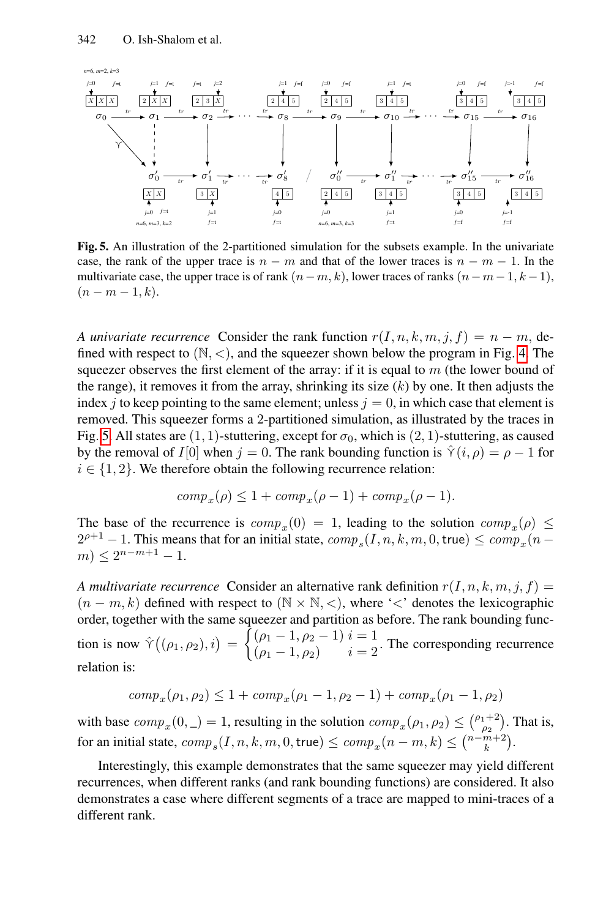

<span id="page-22-0"></span>Fig. 5. An illustration of the 2-partitioned simulation for the subsets example. In the univariate case, the rank of the upper trace is  $n - m$  and that of the lower traces is  $n - m - 1$ . In the multivariate case, the upper trace is of rank  $(n-m, k)$ , lower traces of ranks  $(n-m-1, k-1)$ ,  $(n - m - 1, k).$ 

*A univariate recurrence* Consider the rank function  $r(I, n, k, m, j, f) = n - m$ , defined with respect to  $(N, <)$ , and the squeezer shown below the program in Fig. [4.](#page-21-1) The squeezer observes the first element of the array: if it is equal to  $m$  (the lower bound of the range), it removes it from the array, shrinking its size  $(k)$  by one. It then adjusts the index j to keep pointing to the same element; unless  $j = 0$ , in which case that element is removed. This squeezer forms a 2-partitioned simulation, as illustrated by the traces in Fig. [5.](#page-22-0) All states are  $(1, 1)$ -stuttering, except for  $\sigma_0$ , which is  $(2, 1)$ -stuttering, as caused by the removal of I[0] when  $j = 0$ . The rank bounding function is  $\hat{\gamma}(i, \rho) = \rho - 1$  for  $i \in \{1, 2\}$ . We therefore obtain the following recurrence relation:

$$
compx(\rho) \le 1 + compx(\rho - 1) + compx(\rho - 1).
$$

The base of the recurrence is  $comp<sub>x</sub>(0) = 1$ , leading to the solution  $comp<sub>x</sub>(\rho) \le$  $2^{p+1} - 1$ . This means that for an initial state,  $comp_s(I, n, k, m, 0, true) \leq comp_x(n - 1)$  $m) \leq 2^{n-m+1} - 1.$ 

*A multivariate recurrence* Consider an alternative rank definition  $r(I, n, k, m, j, f)$  =  $(n - m, k)$  defined with respect to  $(N \times N, <)$ , where '<' denotes the lexicographic order, together with the same squeezer and partition as before. The rank bounding function is now  $\hat{\gamma}((\rho_1, \rho_2), i) = \begin{cases} (\rho_1 - 1, \rho_2 - 1) i = 1 \\ (\rho_1 - 1, \rho_2) i = 2 \end{cases}$ . The corresponding recurrence relation is:

$$
comp_x(\rho_1, \rho_2) \le 1 + comp_x(\rho_1 - 1, \rho_2 - 1) + comp_x(\rho_1 - 1, \rho_2)
$$

with base  $comp_x(0, ) = 1$ , resulting in the solution  $comp_x(\rho_1, \rho_2) \leq {p_1 + 2 \choose \rho_2}$ . That is, for an initial state,  $comp_s(I, n, k, m, 0, \text{true}) \leq comp_x(n - m, k) \leq {n - m + 2 \choose k}.$ 

Interestingly, this example demonstrates that the same squeezer may yield different recurrences, when different ranks (and rank bounding functions) are considered. It also demonstrates a case where different segments of a trace are mapped to mini-traces of a different rank.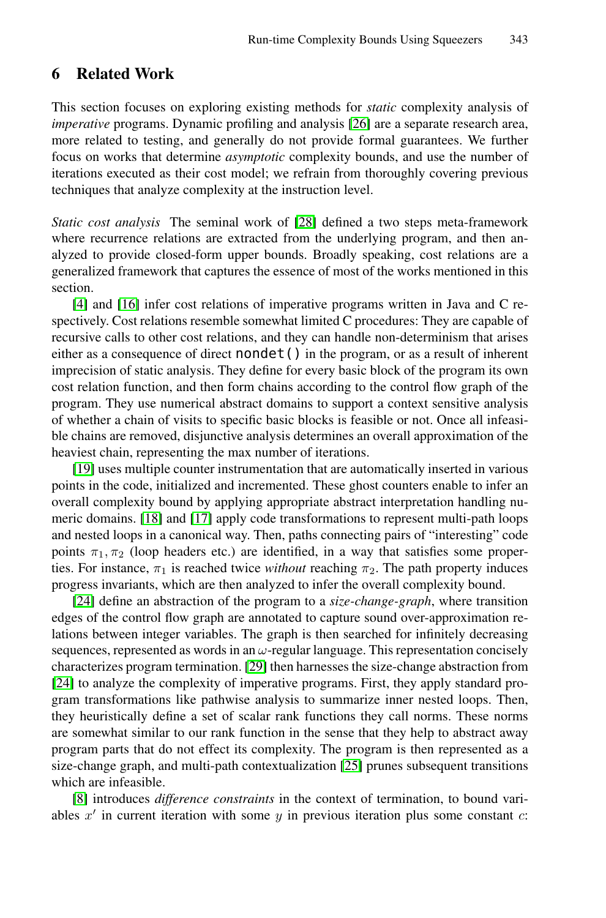### <span id="page-23-0"></span>6 Related Work

This section focuses on exploring existing methods for *static* complexity analysis of *imperative* programs. Dynamic profiling and analysis [\[26\]](#page-26-8) are a separate research area, more related to testing, and generally do not provide formal guarantees. We further focus on works that determine *asymptotic* complexity bounds, and use the number of iterations executed as their cost model; we refrain from thoroughly covering previous techniques that analyze complexity at the instruction level.

*Static cost analysis* The seminal work of [\[28\]](#page-26-1) defined a two steps meta-framework where recurrence relations are extracted from the underlying program, and then analyzed to provide closed-form upper bounds. Broadly speaking, cost relations are a generalized framework that captures the essence of most of the works mentioned in this section.

[\[4\]](#page-25-4) and [\[16\]](#page-26-3) infer cost relations of imperative programs written in Java and C respectively. Cost relations resemble somewhat limited C procedures: They are capable of recursive calls to other cost relations, and they can handle non-determinism that arises either as a consequence of direct nondet() in the program, or as a result of inherent imprecision of static analysis. They define for every basic block of the program its own cost relation function, and then form chains according to the control flow graph of the program. They use numerical abstract domains to support a context sensitive analysis of whether a chain of visits to specific basic blocks is feasible or not. Once all infeasible chains are removed, disjunctive analysis determines an overall approximation of the heaviest chain, representing the max number of iterations.

[\[19\]](#page-26-0) uses multiple counter instrumentation that are automatically inserted in various points in the code, initialized and incremented. These ghost counters enable to infer an overall complexity bound by applying appropriate abstract interpretation handling numeric domains. [\[18\]](#page-26-9) and [\[17\]](#page-26-10) apply code transformations to represent multi-path loops and nested loops in a canonical way. Then, paths connecting pairs of "interesting" code points  $\pi_1, \pi_2$  (loop headers etc.) are identified, in a way that satisfies some properties. For instance,  $\pi_1$  is reached twice *without* reaching  $\pi_2$ . The path property induces progress invariants, which are then analyzed to infer the overall complexity bound.

[\[24\]](#page-26-11) define an abstraction of the program to a *size-change-graph*, where transition edges of the control flow graph are annotated to capture sound over-approximation relations between integer variables. The graph is then searched for infinitely decreasing sequences, represented as words in an  $\omega$ -regular language. This representation concisely characterizes program termination. [\[29\]](#page-26-12) then harnesses the size-change abstraction from [\[24\]](#page-26-11) to analyze the complexity of imperative programs. First, they apply standard program transformations like pathwise analysis to summarize inner nested loops. Then, they heuristically define a set of scalar rank functions they call norms. These norms are somewhat similar to our rank function in the sense that they help to abstract away program parts that do not effect its complexity. The program is then represented as a size-change graph, and multi-path contextualization [\[25\]](#page-26-13) prunes subsequent transitions which are infeasible.

[\[8\]](#page-25-9) introduces *difference constraints* in the context of termination, to bound variables  $x'$  in current iteration with some  $y$  in previous iteration plus some constant  $c$ :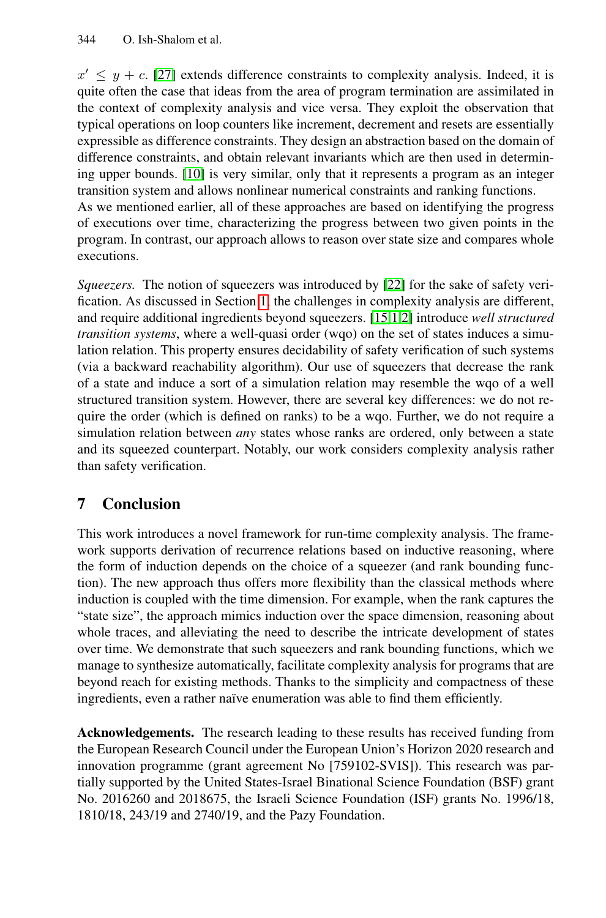$x' \leq y + c$ . [\[27\]](#page-26-14) extends difference constraints to complexity analysis. Indeed, it is quite often the case that ideas from the area of program termination are assimilated in the context of complexity analysis and vice versa. They exploit the observation that typical operations on loop counters like increment, decrement and resets are essentially expressible as difference constraints. They design an abstraction based on the domain of difference constraints, and obtain relevant invariants which are then used in determining upper bounds. [\[10\]](#page-25-10) is very similar, only that it represents a program as an integer transition system and allows nonlinear numerical constraints and ranking functions. As we mentioned earlier, all of these approaches are based on identifying the progress of executions over time, characterizing the progress between two given points in the program. In contrast, our approach allows to reason over state size and compares whole executions.

*Squeezers.* The notion of squeezers was introduced by [\[22\]](#page-26-5) for the sake of safety verification. As discussed in Section [1,](#page-0-0) the challenges in complexity analysis are different, and require additional ingredients beyond squeezers. [\[15](#page-26-15)[,1](#page-25-11)[,2\]](#page-25-12) introduce *well structured transition systems*, where a well-quasi order (wqo) on the set of states induces a simulation relation. This property ensures decidability of safety verification of such systems (via a backward reachability algorithm). Our use of squeezers that decrease the rank of a state and induce a sort of a simulation relation may resemble the wqo of a well structured transition system. However, there are several key differences: we do not require the order (which is defined on ranks) to be a wqo. Further, we do not require a simulation relation between *any* states whose ranks are ordered, only between a state and its squeezed counterpart. Notably, our work considers complexity analysis rather than safety verification.

# 7 Conclusion

This work introduces a novel framework for run-time complexity analysis. The framework supports derivation of recurrence relations based on inductive reasoning, where the form of induction depends on the choice of a squeezer (and rank bounding function). The new approach thus offers more flexibility than the classical methods where induction is coupled with the time dimension. For example, when the rank captures the "state size", the approach mimics induction over the space dimension, reasoning about whole traces, and alleviating the need to describe the intricate development of states over time. We demonstrate that such squeezers and rank bounding functions, which we manage to synthesize automatically, facilitate complexity analysis for programs that are beyond reach for existing methods. Thanks to the simplicity and compactness of these ingredients, even a rather naïve enumeration was able to find them efficiently.

Acknowledgements. The research leading to these results has received funding from the European Research Council under the European Union's Horizon 2020 research and innovation programme (grant agreement No [759102-SVIS]). This research was partially supported by the United States-Israel Binational Science Foundation (BSF) grant No. 2016260 and 2018675, the Israeli Science Foundation (ISF) grants No. 1996/18, 1810/18, 243/19 and 2740/19, and the Pazy Foundation.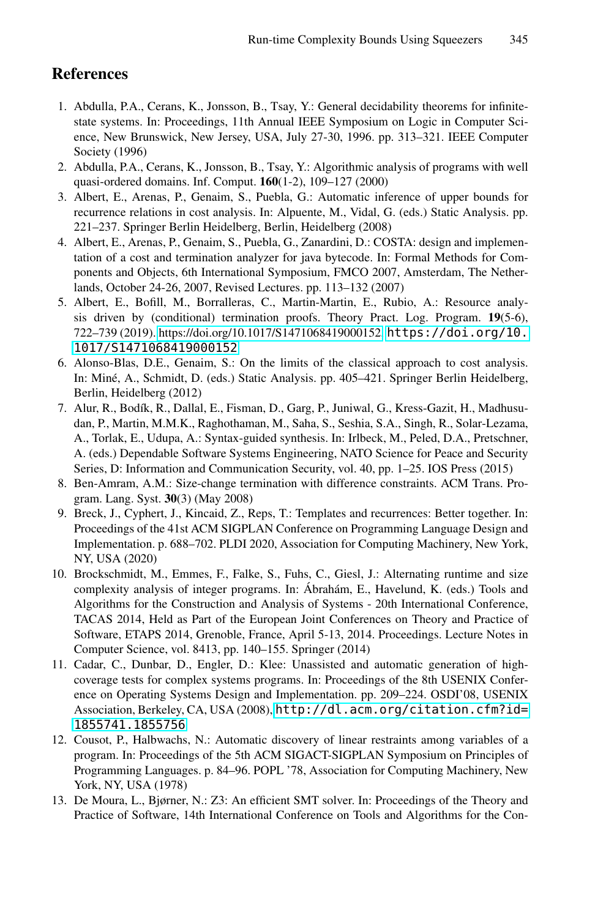## References

- <span id="page-25-11"></span>1. Abdulla, P.A., Cerans, K., Jonsson, B., Tsay, Y.: General decidability theorems for infinitestate systems. In: Proceedings, 11th Annual IEEE Symposium on Logic in Computer Science, New Brunswick, New Jersey, USA, July 27-30, 1996. pp. 313–321. IEEE Computer Society (1996)
- <span id="page-25-12"></span>2. Abdulla, P.A., Cerans, K., Jonsson, B., Tsay, Y.: Algorithmic analysis of programs with well quasi-ordered domains. Inf. Comput. 160(1-2), 109–127 (2000)
- <span id="page-25-0"></span>3. Albert, E., Arenas, P., Genaim, S., Puebla, G.: Automatic inference of upper bounds for recurrence relations in cost analysis. In: Alpuente, M., Vidal, G. (eds.) Static Analysis. pp. 221–237. Springer Berlin Heidelberg, Berlin, Heidelberg (2008)
- <span id="page-25-4"></span>4. Albert, E., Arenas, P., Genaim, S., Puebla, G., Zanardini, D.: COSTA: design and implementation of a cost and termination analyzer for java bytecode. In: Formal Methods for Components and Objects, 6th International Symposium, FMCO 2007, Amsterdam, The Netherlands, October 24-26, 2007, Revised Lectures. pp. 113–132 (2007)
- <span id="page-25-5"></span>5. Albert, E., Bofill, M., Borralleras, C., Martin-Martin, E., Rubio, A.: Resource analysis driven by (conditional) termination proofs. Theory Pract. Log. Program. 19(5-6), 722–739 (2019). [https://doi.org/10.1017/S1471068419000152,](https://doi.org/10.1017/S1471068419000152) [https://doi.org/10.](https://doi.org/10.1017/S1471068419000152) [1017/S1471068419000152](https://doi.org/10.1017/S1471068419000152)
- <span id="page-25-1"></span>6. Alonso-Blas, D.E., Genaim, S.: On the limits of the classical approach to cost analysis. In: Miné, A., Schmidt, D. (eds.) Static Analysis. pp. 405–421. Springer Berlin Heidelberg, Berlin, Heidelberg (2012)
- <span id="page-25-6"></span>7. Alur, R., Bodík, R., Dallal, E., Fisman, D., Garg, P., Juniwal, G., Kress-Gazit, H., Madhusudan, P., Martin, M.M.K., Raghothaman, M., Saha, S., Seshia, S.A., Singh, R., Solar-Lezama, A., Torlak, E., Udupa, A.: Syntax-guided synthesis. In: Irlbeck, M., Peled, D.A., Pretschner, A. (eds.) Dependable Software Systems Engineering, NATO Science for Peace and Security Series, D: Information and Communication Security, vol. 40, pp. 1–25. IOS Press (2015)
- <span id="page-25-9"></span>8. Ben-Amram, A.M.: Size-change termination with difference constraints. ACM Trans. Program. Lang. Syst. 30(3) (May 2008)
- <span id="page-25-3"></span>9. Breck, J., Cyphert, J., Kincaid, Z., Reps, T.: Templates and recurrences: Better together. In: Proceedings of the 41st ACM SIGPLAN Conference on Programming Language Design and Implementation. p. 688–702. PLDI 2020, Association for Computing Machinery, New York, NY, USA (2020)
- <span id="page-25-10"></span>10. Brockschmidt, M., Emmes, F., Falke, S., Fuhs, C., Giesl, J.: Alternating runtime and size complexity analysis of integer programs. In: Ábrahám, E., Havelund, K. (eds.) Tools and Algorithms for the Construction and Analysis of Systems - 20th International Conference, TACAS 2014, Held as Part of the European Joint Conferences on Theory and Practice of Software, ETAPS 2014, Grenoble, France, April 5-13, 2014. Proceedings. Lecture Notes in Computer Science, vol. 8413, pp. 140–155. Springer (2014)
- <span id="page-25-8"></span>11. Cadar, C., Dunbar, D., Engler, D.: Klee: Unassisted and automatic generation of highcoverage tests for complex systems programs. In: Proceedings of the 8th USENIX Conference on Operating Systems Design and Implementation. pp. 209–224. OSDI'08, USENIX Association, Berkeley, CA, USA (2008), [http://dl.acm.org/citation.cfm?id=](http://dl.acm.org/citation.cfm?id=1855741.1855756) [1855741.1855756](http://dl.acm.org/citation.cfm?id=1855741.1855756)
- <span id="page-25-2"></span>12. Cousot, P., Halbwachs, N.: Automatic discovery of linear restraints among variables of a program. In: Proceedings of the 5th ACM SIGACT-SIGPLAN Symposium on Principles of Programming Languages. p. 84–96. POPL '78, Association for Computing Machinery, New York, NY, USA (1978)
- <span id="page-25-7"></span>13. De Moura, L., Bjørner, N.: Z3: An efficient SMT solver. In: Proceedings of the Theory and Practice of Software, 14th International Conference on Tools and Algorithms for the Con-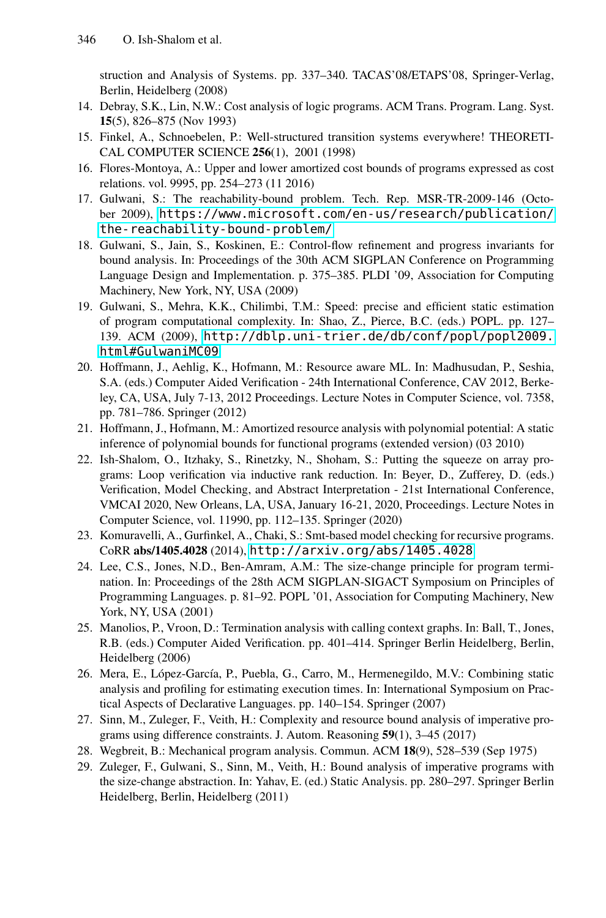struction and Analysis of Systems. pp. 337–340. TACAS'08/ETAPS'08, Springer-Verlag, Berlin, Heidelberg (2008)

- <span id="page-26-2"></span>14. Debray, S.K., Lin, N.W.: Cost analysis of logic programs. ACM Trans. Program. Lang. Syst. 15(5), 826–875 (Nov 1993)
- <span id="page-26-15"></span>15. Finkel, A., Schnoebelen, P.: Well-structured transition systems everywhere! THEORETI-CAL COMPUTER SCIENCE 256(1), 2001 (1998)
- <span id="page-26-3"></span>16. Flores-Montoya, A.: Upper and lower amortized cost bounds of programs expressed as cost relations. vol. 9995, pp. 254–273 (11 2016)
- <span id="page-26-10"></span>17. Gulwani, S.: The reachability-bound problem. Tech. Rep. MSR-TR-2009-146 (October 2009), [https://www.microsoft.com/en-us/research/publication/](https://www.microsoft.com/en-us/research/publication/the-reachability-bound-problem/) [the-reachability-bound-problem/](https://www.microsoft.com/en-us/research/publication/the-reachability-bound-problem/)
- <span id="page-26-9"></span>18. Gulwani, S., Jain, S., Koskinen, E.: Control-flow refinement and progress invariants for bound analysis. In: Proceedings of the 30th ACM SIGPLAN Conference on Programming Language Design and Implementation. p. 375–385. PLDI '09, Association for Computing Machinery, New York, NY, USA (2009)
- <span id="page-26-0"></span>19. Gulwani, S., Mehra, K.K., Chilimbi, T.M.: Speed: precise and efficient static estimation of program computational complexity. In: Shao, Z., Pierce, B.C. (eds.) POPL. pp. 127– 139. ACM (2009), [http://dblp.uni-trier.de/db/conf/popl/popl2009.](http://dblp.uni-trier.de/db/conf/popl/popl2009.html#GulwaniMC09) [html#GulwaniMC09](http://dblp.uni-trier.de/db/conf/popl/popl2009.html#GulwaniMC09)
- <span id="page-26-6"></span>20. Hoffmann, J., Aehlig, K., Hofmann, M.: Resource aware ML. In: Madhusudan, P., Seshia, S.A. (eds.) Computer Aided Verification - 24th International Conference, CAV 2012, Berkeley, CA, USA, July 7-13, 2012 Proceedings. Lecture Notes in Computer Science, vol. 7358, pp. 781–786. Springer (2012)
- <span id="page-26-4"></span>21. Hoffmann, J., Hofmann, M.: Amortized resource analysis with polynomial potential: A static inference of polynomial bounds for functional programs (extended version) (03 2010)
- <span id="page-26-5"></span>22. Ish-Shalom, O., Itzhaky, S., Rinetzky, N., Shoham, S.: Putting the squeeze on array programs: Loop verification via inductive rank reduction. In: Beyer, D., Zufferey, D. (eds.) Verification, Model Checking, and Abstract Interpretation - 21st International Conference, VMCAI 2020, New Orleans, LA, USA, January 16-21, 2020, Proceedings. Lecture Notes in Computer Science, vol. 11990, pp. 112–135. Springer (2020)
- <span id="page-26-7"></span>23. Komuravelli, A., Gurfinkel, A., Chaki, S.: Smt-based model checking for recursive programs. CoRR abs/1405.4028 (2014), <http://arxiv.org/abs/1405.4028>
- <span id="page-26-11"></span>24. Lee, C.S., Jones, N.D., Ben-Amram, A.M.: The size-change principle for program termination. In: Proceedings of the 28th ACM SIGPLAN-SIGACT Symposium on Principles of Programming Languages. p. 81–92. POPL '01, Association for Computing Machinery, New York, NY, USA (2001)
- <span id="page-26-13"></span>25. Manolios, P., Vroon, D.: Termination analysis with calling context graphs. In: Ball, T., Jones, R.B. (eds.) Computer Aided Verification. pp. 401–414. Springer Berlin Heidelberg, Berlin, Heidelberg (2006)
- <span id="page-26-8"></span>26. Mera, E., López-García, P., Puebla, G., Carro, M., Hermenegildo, M.V.: Combining static analysis and profiling for estimating execution times. In: International Symposium on Practical Aspects of Declarative Languages. pp. 140–154. Springer (2007)
- <span id="page-26-14"></span>27. Sinn, M., Zuleger, F., Veith, H.: Complexity and resource bound analysis of imperative programs using difference constraints. J. Autom. Reasoning 59(1), 3–45 (2017)
- <span id="page-26-1"></span>28. Wegbreit, B.: Mechanical program analysis. Commun. ACM 18(9), 528–539 (Sep 1975)
- <span id="page-26-12"></span>29. Zuleger, F., Gulwani, S., Sinn, M., Veith, H.: Bound analysis of imperative programs with the size-change abstraction. In: Yahav, E. (ed.) Static Analysis. pp. 280–297. Springer Berlin Heidelberg, Berlin, Heidelberg (2011)